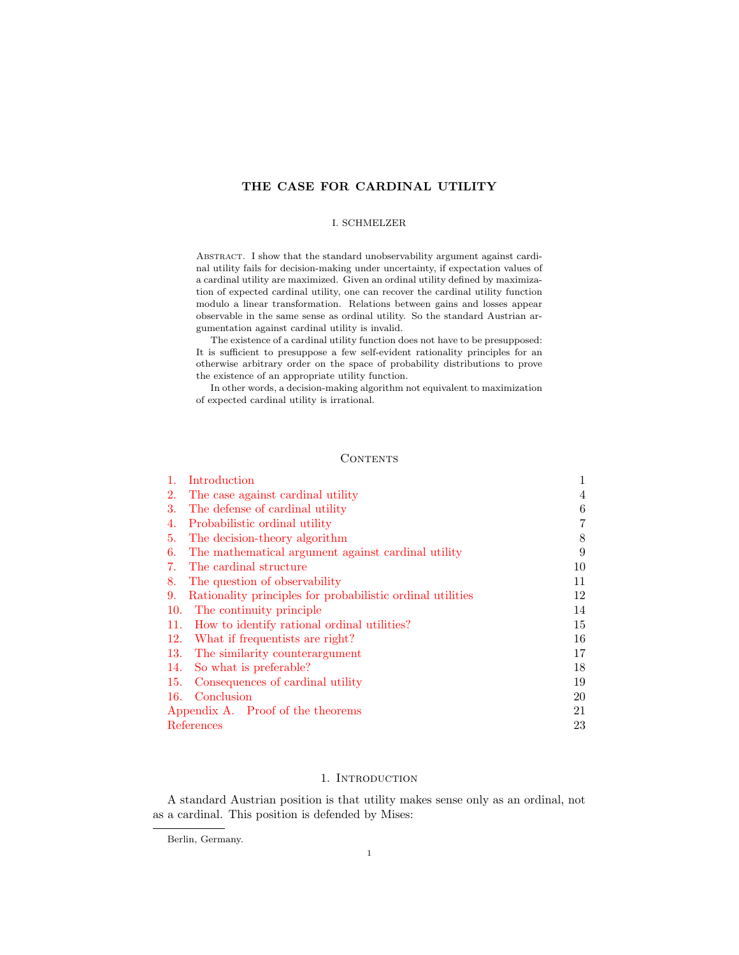# THE CASE FOR CARDINAL UTILITY

### I. SCHMELZER

ABSTRACT. I show that the standard unobservability argument against cardinal utility fails for decision-making under uncertainty, if expectation values of a cardinal utility are maximized. Given an ordinal utility defined by maximization of expected cardinal utility, one can recover the cardinal utility function modulo a linear transformation. Relations between gains and losses appear observable in the same sense as ordinal utility. So the standard Austrian argumentation against cardinal utility is invalid.

The existence of a cardinal utility function does not have to be presupposed: It is sufficient to presuppose a few self-evident rationality principles for an otherwise arbitrary order on the space of probability distributions to prove the existence of an appropriate utility function.

In other words, a decision-making algorithm not equivalent to maximization of expected cardinal utility is irrational.

# **CONTENTS**

|                                   | Introduction                                               |    |
|-----------------------------------|------------------------------------------------------------|----|
| 2.                                | The case against cardinal utility                          | 4  |
| 3.                                | The defense of cardinal utility                            | 6  |
| 4.                                | Probabilistic ordinal utility                              | 7  |
| 5.                                | The decision-theory algorithm                              | 8  |
| 6.                                | The mathematical argument against cardinal utility         | 9  |
| 7.                                | The cardinal structure                                     | 10 |
| 8.                                | The question of observability                              | 11 |
| 9.                                | Rationality principles for probabilistic ordinal utilities | 12 |
| 10.                               | The continuity principle                                   | 14 |
| 11.                               | How to identify rational ordinal utilities?                | 15 |
| 12.                               | What if frequentists are right?                            | 16 |
| 13.                               | The similarity counterargument                             | 17 |
| 14.                               | So what is preferable?                                     | 18 |
| 15.                               | Consequences of cardinal utility                           | 19 |
| 16.                               | Conclusion                                                 | 20 |
| Appendix A. Proof of the theorems |                                                            | 21 |
| References                        |                                                            | 23 |

# 1. INTRODUCTION

<span id="page-0-0"></span>A standard Austrian position is that utility makes sense only as an ordinal, not as a cardinal. This position is defended by Mises:

Berlin, Germany.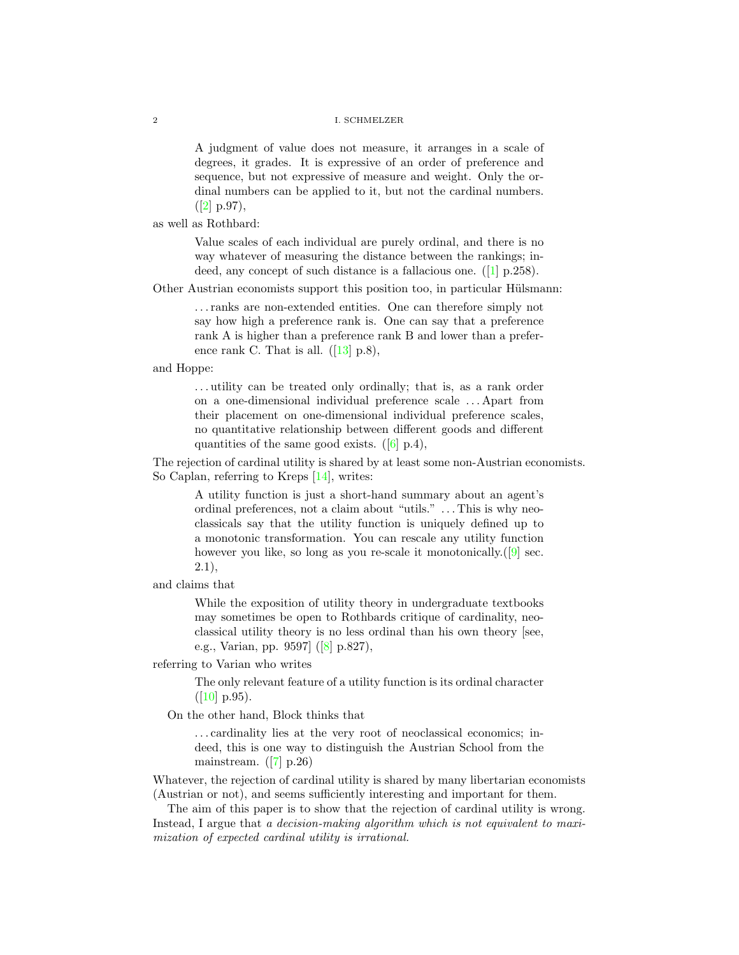A judgment of value does not measure, it arranges in a scale of degrees, it grades. It is expressive of an order of preference and sequence, but not expressive of measure and weight. Only the ordinal numbers can be applied to it, but not the cardinal numbers.  $([2]$  $([2]$  p.97),

as well as Rothbard:

Value scales of each individual are purely ordinal, and there is no way whatever of measuring the distance between the rankings; indeed, any concept of such distance is a fallacious one. ([\[1\]](#page-22-0) p.258).

Other Austrian economists support this position too, in particular Hülsmann:

. . . ranks are non-extended entities. One can therefore simply not say how high a preference rank is. One can say that a preference rank A is higher than a preference rank B and lower than a preference rank C. That is all.  $([13] \text{ p.}8)$  $([13] \text{ p.}8)$  $([13] \text{ p.}8)$ ,

and Hoppe:

. . . utility can be treated only ordinally; that is, as a rank order on a one-dimensional individual preference scale . . . Apart from their placement on one-dimensional individual preference scales, no quantitative relationship between different goods and different quantities of the same good exists.  $([6] p.4)$  $([6] p.4)$  $([6] p.4)$ ,

The rejection of cardinal utility is shared by at least some non-Austrian economists. So Caplan, referring to Kreps [\[14\]](#page-22-4), writes:

A utility function is just a short-hand summary about an agent's ordinal preferences, not a claim about "utils." . . . This is why neoclassicals say that the utility function is uniquely defined up to a monotonic transformation. You can rescale any utility function however you like, so long as you re-scale it monotonically. ([\[9\]](#page-22-5) sec. 2.1),

and claims that

While the exposition of utility theory in undergraduate textbooks may sometimes be open to Rothbards critique of cardinality, neoclassical utility theory is no less ordinal than his own theory [see, e.g., Varian, pp. 9597] ([\[8\]](#page-22-6) p.827),

referring to Varian who writes

The only relevant feature of a utility function is its ordinal character  $([10] \text{ p.}95).$  $([10] \text{ p.}95).$  $([10] \text{ p.}95).$ 

On the other hand, Block thinks that

. . . cardinality lies at the very root of neoclassical economics; indeed, this is one way to distinguish the Austrian School from the mainstream.  $([7] p.26)$  $([7] p.26)$  $([7] p.26)$ 

Whatever, the rejection of cardinal utility is shared by many libertarian economists (Austrian or not), and seems sufficiently interesting and important for them.

The aim of this paper is to show that the rejection of cardinal utility is wrong. Instead, I argue that a decision-making algorithm which is not equivalent to maximization of expected cardinal utility is irrational.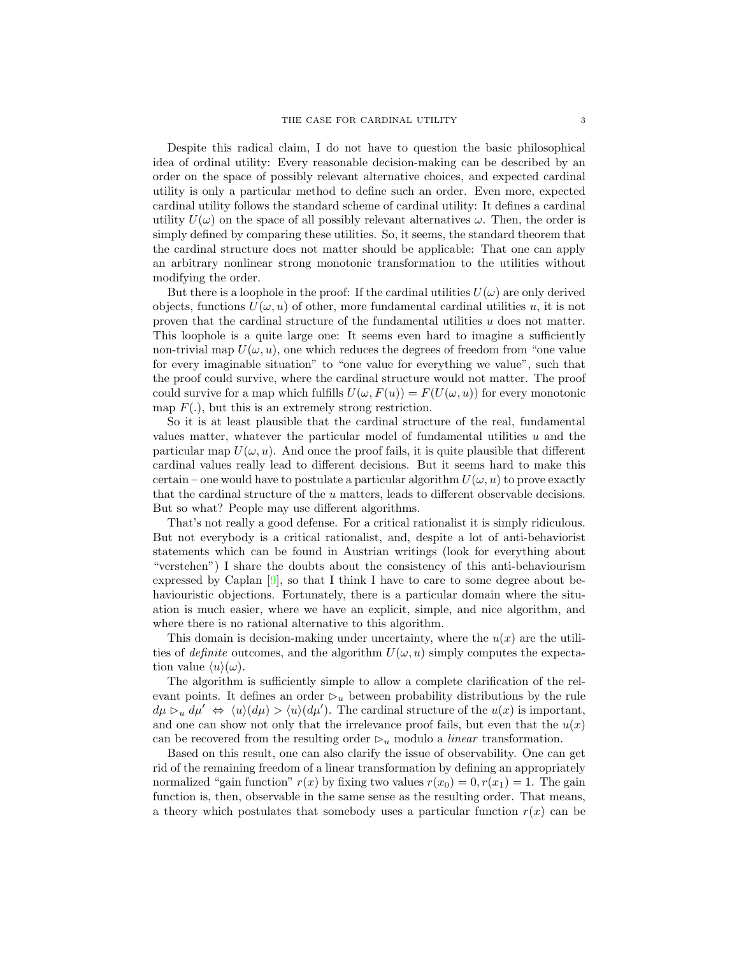Despite this radical claim, I do not have to question the basic philosophical idea of ordinal utility: Every reasonable decision-making can be described by an order on the space of possibly relevant alternative choices, and expected cardinal utility is only a particular method to define such an order. Even more, expected cardinal utility follows the standard scheme of cardinal utility: It defines a cardinal utility  $U(\omega)$  on the space of all possibly relevant alternatives  $\omega$ . Then, the order is simply defined by comparing these utilities. So, it seems, the standard theorem that the cardinal structure does not matter should be applicable: That one can apply an arbitrary nonlinear strong monotonic transformation to the utilities without modifying the order.

But there is a loophole in the proof: If the cardinal utilities  $U(\omega)$  are only derived objects, functions  $U(\omega, u)$  of other, more fundamental cardinal utilities u, it is not proven that the cardinal structure of the fundamental utilities  $u$  does not matter. This loophole is a quite large one: It seems even hard to imagine a sufficiently non-trivial map  $U(\omega, u)$ , one which reduces the degrees of freedom from "one value for every imaginable situation" to "one value for everything we value", such that the proof could survive, where the cardinal structure would not matter. The proof could survive for a map which fulfills  $U(\omega, F(u)) = F(U(\omega, u))$  for every monotonic map  $F(.)$ , but this is an extremely strong restriction.

So it is at least plausible that the cardinal structure of the real, fundamental values matter, whatever the particular model of fundamental utilities  $u$  and the particular map  $U(\omega, u)$ . And once the proof fails, it is quite plausible that different cardinal values really lead to different decisions. But it seems hard to make this certain – one would have to postulate a particular algorithm  $U(\omega, u)$  to prove exactly that the cardinal structure of the u matters, leads to different observable decisions. But so what? People may use different algorithms.

That's not really a good defense. For a critical rationalist it is simply ridiculous. But not everybody is a critical rationalist, and, despite a lot of anti-behaviorist statements which can be found in Austrian writings (look for everything about "verstehen") I share the doubts about the consistency of this anti-behaviourism expressed by Caplan  $[9]$ , so that I think I have to care to some degree about behaviouristic objections. Fortunately, there is a particular domain where the situation is much easier, where we have an explicit, simple, and nice algorithm, and where there is no rational alternative to this algorithm.

This domain is decision-making under uncertainty, where the  $u(x)$  are the utilities of definite outcomes, and the algorithm  $U(\omega, u)$  simply computes the expectation value  $\langle u \rangle(\omega)$ .

The algorithm is sufficiently simple to allow a complete clarification of the relevant points. It defines an order  $\mathcal{D}_u$  between probability distributions by the rule  $d\mu \rhd_u d\mu' \Leftrightarrow \langle u \rangle(d\mu) > \langle u \rangle(d\mu').$  The cardinal structure of the  $u(x)$  is important, and one can show not only that the irrelevance proof fails, but even that the  $u(x)$ can be recovered from the resulting order  $\mathcal{D}_u$  modulo a *linear* transformation.

Based on this result, one can also clarify the issue of observability. One can get rid of the remaining freedom of a linear transformation by defining an appropriately normalized "gain function"  $r(x)$  by fixing two values  $r(x_0) = 0, r(x_1) = 1$ . The gain function is, then, observable in the same sense as the resulting order. That means, a theory which postulates that somebody uses a particular function  $r(x)$  can be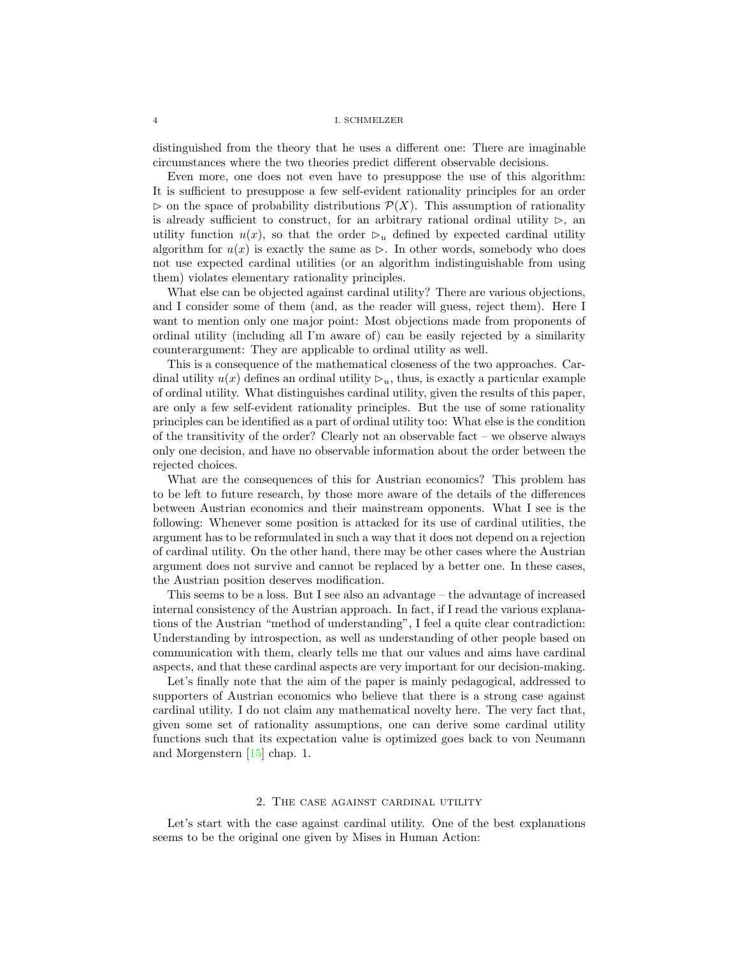distinguished from the theory that he uses a different one: There are imaginable circumstances where the two theories predict different observable decisions.

Even more, one does not even have to presuppose the use of this algorithm: It is sufficient to presuppose a few self-evident rationality principles for an order  $\triangleright$  on the space of probability distributions  $\mathcal{P}(X)$ . This assumption of rationality is already sufficient to construct, for an arbitrary rational ordinal utility  $\triangleright$ , an utility function  $u(x)$ , so that the order  $\mathcal{D}_u$  defined by expected cardinal utility algorithm for  $u(x)$  is exactly the same as  $\triangleright$ . In other words, somebody who does not use expected cardinal utilities (or an algorithm indistinguishable from using them) violates elementary rationality principles.

What else can be objected against cardinal utility? There are various objections, and I consider some of them (and, as the reader will guess, reject them). Here I want to mention only one major point: Most objections made from proponents of ordinal utility (including all I'm aware of) can be easily rejected by a similarity counterargument: They are applicable to ordinal utility as well.

This is a consequence of the mathematical closeness of the two approaches. Cardinal utility  $u(x)$  defines an ordinal utility  $\mathcal{D}_u$ , thus, is exactly a particular example of ordinal utility. What distinguishes cardinal utility, given the results of this paper, are only a few self-evident rationality principles. But the use of some rationality principles can be identified as a part of ordinal utility too: What else is the condition of the transitivity of the order? Clearly not an observable fact – we observe always only one decision, and have no observable information about the order between the rejected choices.

What are the consequences of this for Austrian economics? This problem has to be left to future research, by those more aware of the details of the differences between Austrian economics and their mainstream opponents. What I see is the following: Whenever some position is attacked for its use of cardinal utilities, the argument has to be reformulated in such a way that it does not depend on a rejection of cardinal utility. On the other hand, there may be other cases where the Austrian argument does not survive and cannot be replaced by a better one. In these cases, the Austrian position deserves modification.

This seems to be a loss. But I see also an advantage – the advantage of increased internal consistency of the Austrian approach. In fact, if I read the various explanations of the Austrian "method of understanding", I feel a quite clear contradiction: Understanding by introspection, as well as understanding of other people based on communication with them, clearly tells me that our values and aims have cardinal aspects, and that these cardinal aspects are very important for our decision-making.

Let's finally note that the aim of the paper is mainly pedagogical, addressed to supporters of Austrian economics who believe that there is a strong case against cardinal utility. I do not claim any mathematical novelty here. The very fact that, given some set of rationality assumptions, one can derive some cardinal utility functions such that its expectation value is optimized goes back to von Neumann and Morgenstern [\[15\]](#page-22-9) chap. 1.

# 2. The case against cardinal utility

<span id="page-3-0"></span>Let's start with the case against cardinal utility. One of the best explanations seems to be the original one given by Mises in Human Action: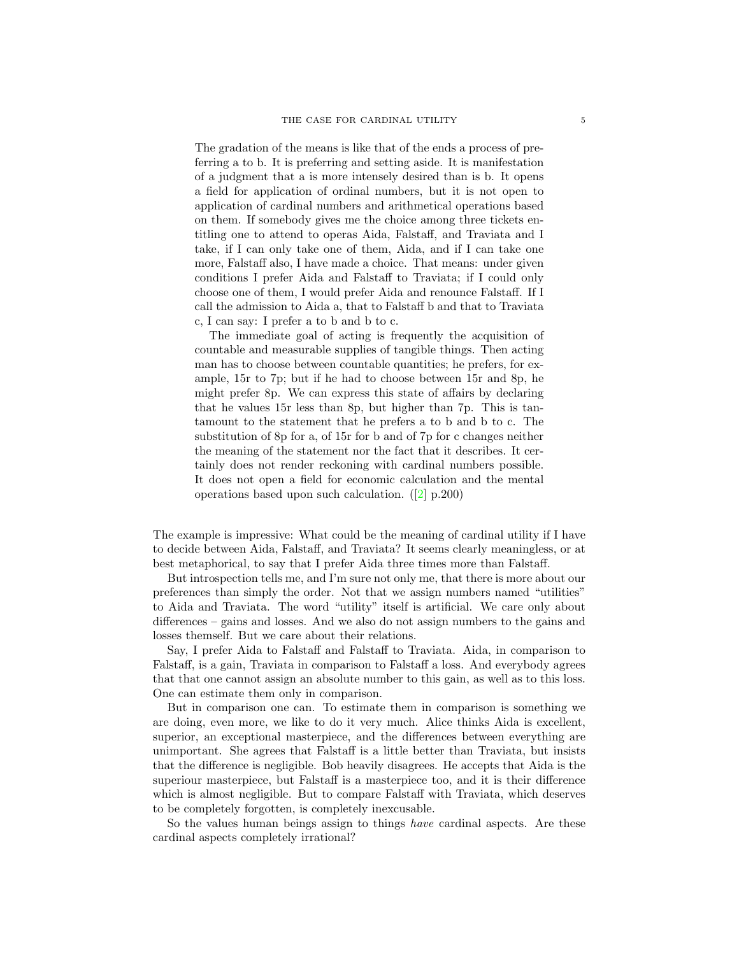The gradation of the means is like that of the ends a process of preferring a to b. It is preferring and setting aside. It is manifestation of a judgment that a is more intensely desired than is b. It opens a field for application of ordinal numbers, but it is not open to application of cardinal numbers and arithmetical operations based on them. If somebody gives me the choice among three tickets entitling one to attend to operas Aida, Falstaff, and Traviata and I take, if I can only take one of them, Aida, and if I can take one more, Falstaff also, I have made a choice. That means: under given conditions I prefer Aida and Falstaff to Traviata; if I could only choose one of them, I would prefer Aida and renounce Falstaff. If I call the admission to Aida a, that to Falstaff b and that to Traviata c, I can say: I prefer a to b and b to c.

The immediate goal of acting is frequently the acquisition of countable and measurable supplies of tangible things. Then acting man has to choose between countable quantities; he prefers, for example, 15r to 7p; but if he had to choose between 15r and 8p, he might prefer 8p. We can express this state of affairs by declaring that he values 15r less than 8p, but higher than 7p. This is tantamount to the statement that he prefers a to b and b to c. The substitution of 8p for a, of 15r for b and of 7p for c changes neither the meaning of the statement nor the fact that it describes. It certainly does not render reckoning with cardinal numbers possible. It does not open a field for economic calculation and the mental operations based upon such calculation. ([\[2\]](#page-22-1) p.200)

The example is impressive: What could be the meaning of cardinal utility if I have to decide between Aida, Falstaff, and Traviata? It seems clearly meaningless, or at best metaphorical, to say that I prefer Aida three times more than Falstaff.

But introspection tells me, and I'm sure not only me, that there is more about our preferences than simply the order. Not that we assign numbers named "utilities" to Aida and Traviata. The word "utility" itself is artificial. We care only about differences – gains and losses. And we also do not assign numbers to the gains and losses themself. But we care about their relations.

Say, I prefer Aida to Falstaff and Falstaff to Traviata. Aida, in comparison to Falstaff, is a gain, Traviata in comparison to Falstaff a loss. And everybody agrees that that one cannot assign an absolute number to this gain, as well as to this loss. One can estimate them only in comparison.

But in comparison one can. To estimate them in comparison is something we are doing, even more, we like to do it very much. Alice thinks Aida is excellent, superior, an exceptional masterpiece, and the differences between everything are unimportant. She agrees that Falstaff is a little better than Traviata, but insists that the difference is negligible. Bob heavily disagrees. He accepts that Aida is the superiour masterpiece, but Falstaff is a masterpiece too, and it is their difference which is almost negligible. But to compare Falstaff with Traviata, which deserves to be completely forgotten, is completely inexcusable.

So the values human beings assign to things *have* cardinal aspects. Are these cardinal aspects completely irrational?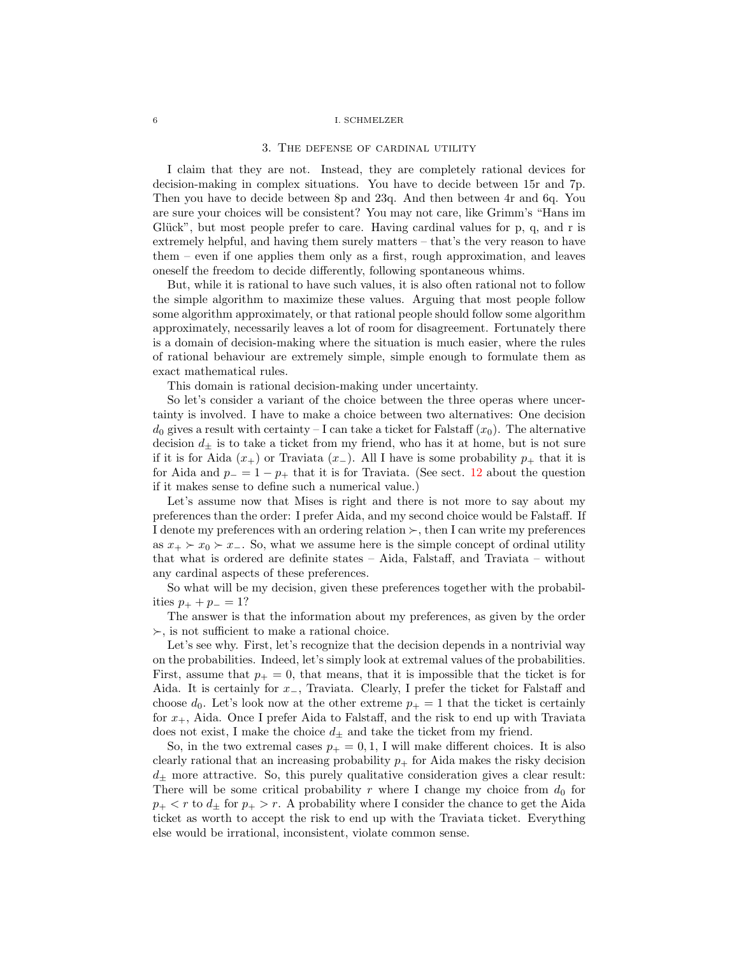#### 3. The defense of cardinal utility

<span id="page-5-0"></span>I claim that they are not. Instead, they are completely rational devices for decision-making in complex situations. You have to decide between 15r and 7p. Then you have to decide between 8p and 23q. And then between 4r and 6q. You are sure your choices will be consistent? You may not care, like Grimm's "Hans im Glück", but most people prefer to care. Having cardinal values for  $p$ ,  $q$ , and  $r$  is extremely helpful, and having them surely matters – that's the very reason to have them – even if one applies them only as a first, rough approximation, and leaves oneself the freedom to decide differently, following spontaneous whims.

But, while it is rational to have such values, it is also often rational not to follow the simple algorithm to maximize these values. Arguing that most people follow some algorithm approximately, or that rational people should follow some algorithm approximately, necessarily leaves a lot of room for disagreement. Fortunately there is a domain of decision-making where the situation is much easier, where the rules of rational behaviour are extremely simple, simple enough to formulate them as exact mathematical rules.

This domain is rational decision-making under uncertainty.

So let's consider a variant of the choice between the three operas where uncertainty is involved. I have to make a choice between two alternatives: One decision  $d_0$  gives a result with certainty – I can take a ticket for Falstaff  $(x_0)$ . The alternative decision  $d_{\pm}$  is to take a ticket from my friend, who has it at home, but is not sure if it is for Aida  $(x_{+})$  or Traviata  $(x_{-})$ . All I have is some probability  $p_{+}$  that it is for Aida and  $p_ - = 1 - p_ +$  that it is for Traviata. (See sect. [12](#page-15-0) about the question if it makes sense to define such a numerical value.)

Let's assume now that Mises is right and there is not more to say about my preferences than the order: I prefer Aida, and my second choice would be Falstaff. If I denote my preferences with an ordering relation  $\succ$ , then I can write my preferences as  $x_+ \succ x_0 \succ x_-\;$ . So, what we assume here is the simple concept of ordinal utility that what is ordered are definite states – Aida, Falstaff, and Traviata – without any cardinal aspects of these preferences.

So what will be my decision, given these preferences together with the probabilities  $p_{+} + p_{-} = 1?$ 

The answer is that the information about my preferences, as given by the order  $\succ$ , is not sufficient to make a rational choice.

Let's see why. First, let's recognize that the decision depends in a nontrivial way on the probabilities. Indeed, let's simply look at extremal values of the probabilities. First, assume that  $p_{+} = 0$ , that means, that it is impossible that the ticket is for Aida. It is certainly for x−, Traviata. Clearly, I prefer the ticket for Falstaff and choose  $d_0$ . Let's look now at the other extreme  $p_+ = 1$  that the ticket is certainly for  $x_+$ , Aida. Once I prefer Aida to Falstaff, and the risk to end up with Traviata does not exist, I make the choice  $d_\pm$  and take the ticket from my friend.

So, in the two extremal cases  $p_{+} = 0, 1, 1$  will make different choices. It is also clearly rational that an increasing probability  $p_+$  for Aida makes the risky decision  $d_{\pm}$  more attractive. So, this purely qualitative consideration gives a clear result: There will be some critical probability r where I change my choice from  $d_0$  for  $p_{+} < r$  to  $d_{+}$  for  $p_{+} > r$ . A probability where I consider the chance to get the Aida ticket as worth to accept the risk to end up with the Traviata ticket. Everything else would be irrational, inconsistent, violate common sense.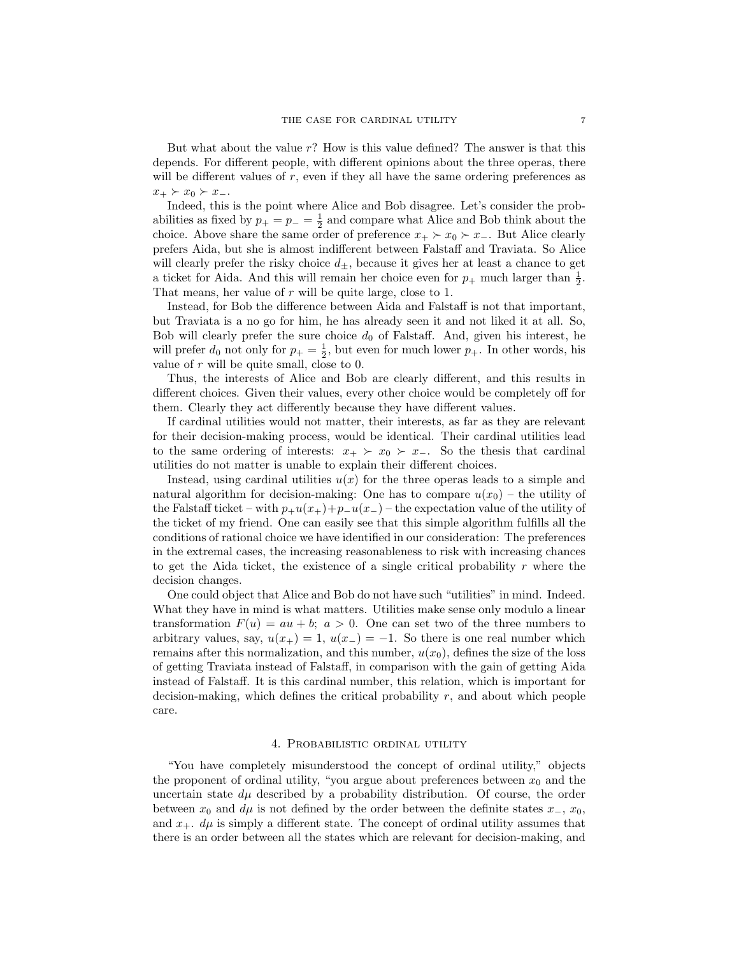But what about the value r? How is this value defined? The answer is that this depends. For different people, with different opinions about the three operas, there will be different values of r, even if they all have the same ordering preferences as  $x_+ \succ x_0 \succ x_-.$ 

Indeed, this is the point where Alice and Bob disagree. Let's consider the probabilities as fixed by  $p_+ = p_- = \frac{1}{2}$  and compare what Alice and Bob think about the choice. Above share the same order of preference  $x_+ \succ x_0 \succ x_-\$ . But Alice clearly prefers Aida, but she is almost indifferent between Falstaff and Traviata. So Alice will clearly prefer the risky choice  $d_{\pm}$ , because it gives her at least a chance to get a ticket for Aida. And this will remain her choice even for  $p_+$  much larger than  $\frac{1}{2}$ . That means, her value of r will be quite large, close to 1.

Instead, for Bob the difference between Aida and Falstaff is not that important, but Traviata is a no go for him, he has already seen it and not liked it at all. So, Bob will clearly prefer the sure choice  $d_0$  of Falstaff. And, given his interest, he will prefer  $d_0$  not only for  $p_+ = \frac{1}{2}$ , but even for much lower  $p_+$ . In other words, his value of  $r$  will be quite small, close to 0.

Thus, the interests of Alice and Bob are clearly different, and this results in different choices. Given their values, every other choice would be completely off for them. Clearly they act differently because they have different values.

If cardinal utilities would not matter, their interests, as far as they are relevant for their decision-making process, would be identical. Their cardinal utilities lead to the same ordering of interests:  $x_+ \succ x_0 \succ x_-\$ . So the thesis that cardinal utilities do not matter is unable to explain their different choices.

Instead, using cardinal utilities  $u(x)$  for the three operas leads to a simple and natural algorithm for decision-making: One has to compare  $u(x_0)$  – the utility of the Falstaff ticket – with  $p_{+}u(x_{+})+p_{-}u(x_{-})$  – the expectation value of the utility of the ticket of my friend. One can easily see that this simple algorithm fulfills all the conditions of rational choice we have identified in our consideration: The preferences in the extremal cases, the increasing reasonableness to risk with increasing chances to get the Aida ticket, the existence of a single critical probability  $r$  where the decision changes.

One could object that Alice and Bob do not have such "utilities" in mind. Indeed. What they have in mind is what matters. Utilities make sense only modulo a linear transformation  $F(u) = au + b$ ;  $a > 0$ . One can set two of the three numbers to arbitrary values, say,  $u(x_{+}) = 1$ ,  $u(x_{-}) = -1$ . So there is one real number which remains after this normalization, and this number,  $u(x_0)$ , defines the size of the loss of getting Traviata instead of Falstaff, in comparison with the gain of getting Aida instead of Falstaff. It is this cardinal number, this relation, which is important for decision-making, which defines the critical probability  $r$ , and about which people care.

#### 4. Probabilistic ordinal utility

<span id="page-6-0"></span>"You have completely misunderstood the concept of ordinal utility," objects the proponent of ordinal utility, "you argue about preferences between  $x_0$  and the uncertain state  $d\mu$  described by a probability distribution. Of course, the order between  $x_0$  and  $d\mu$  is not defined by the order between the definite states  $x_-, x_0$ , and  $x_+$ .  $d\mu$  is simply a different state. The concept of ordinal utility assumes that there is an order between all the states which are relevant for decision-making, and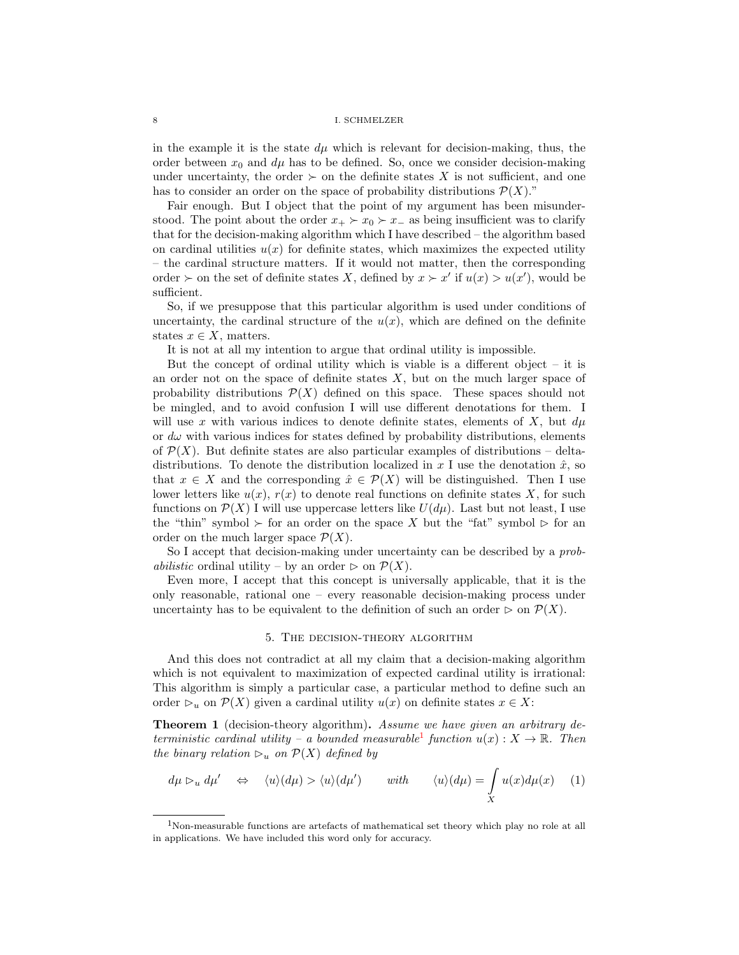in the example it is the state  $d\mu$  which is relevant for decision-making, thus, the order between  $x_0$  and  $d\mu$  has to be defined. So, once we consider decision-making under uncertainty, the order  $\succ$  on the definite states X is not sufficient, and one has to consider an order on the space of probability distributions  $\mathcal{P}(X)$ ."

Fair enough. But I object that the point of my argument has been misunderstood. The point about the order  $x_+ \succ x_0 \succ x_-$  as being insufficient was to clarify that for the decision-making algorithm which I have described – the algorithm based on cardinal utilities  $u(x)$  for definite states, which maximizes the expected utility – the cardinal structure matters. If it would not matter, then the corresponding order  $\succ$  on the set of definite states X, defined by  $x \succ x'$  if  $u(x) > u(x')$ , would be sufficient.

So, if we presuppose that this particular algorithm is used under conditions of uncertainty, the cardinal structure of the  $u(x)$ , which are defined on the definite states  $x \in X$ , matters.

It is not at all my intention to argue that ordinal utility is impossible.

But the concept of ordinal utility which is viable is a different object  $-$  it is an order not on the space of definite states  $X$ , but on the much larger space of probability distributions  $\mathcal{P}(X)$  defined on this space. These spaces should not be mingled, and to avoid confusion I will use different denotations for them. I will use x with various indices to denote definite states, elements of X, but  $d\mu$ or  $d\omega$  with various indices for states defined by probability distributions, elements of  $\mathcal{P}(X)$ . But definite states are also particular examples of distributions – deltadistributions. To denote the distribution localized in x I use the denotation  $\hat{x}$ , so that  $x \in X$  and the corresponding  $\hat{x} \in \mathcal{P}(X)$  will be distinguished. Then I use lower letters like  $u(x)$ ,  $r(x)$  to denote real functions on definite states X, for such functions on  $\mathcal{P}(X)$  I will use uppercase letters like  $U(d\mu)$ . Last but not least, I use the "thin" symbol  $\succ$  for an order on the space X but the "fat" symbol  $\succ$  for an order on the much larger space  $\mathcal{P}(X)$ .

So I accept that decision-making under uncertainty can be described by a *probabilistic* ordinal utility – by an order  $\triangleright$  on  $\mathcal{P}(X)$ .

Even more, I accept that this concept is universally applicable, that it is the only reasonable, rational one – every reasonable decision-making process under uncertainty has to be equivalent to the definition of such an order  $\triangleright$  on  $\mathcal{P}(X)$ .

## 5. The decision-theory algorithm

<span id="page-7-0"></span>And this does not contradict at all my claim that a decision-making algorithm which is not equivalent to maximization of expected cardinal utility is irrational: This algorithm is simply a particular case, a particular method to define such an order  $\varphi_u$  on  $\mathcal{P}(X)$  given a cardinal utility  $u(x)$  on definite states  $x \in X$ :

<span id="page-7-3"></span>**Theorem 1** (decision-theory algorithm). Assume we have given an arbitrary de-terministic cardinal utility – a bounded measurable<sup>[1](#page-7-1)</sup> function  $u(x): X \to \mathbb{R}$ . Then the binary relation  $\mathcal{D}_u$  on  $\mathcal{P}(X)$  defined by

<span id="page-7-2"></span>
$$
d\mu \rhd_u d\mu' \quad \Leftrightarrow \quad \langle u \rangle (d\mu) > \langle u \rangle (d\mu') \qquad with \qquad \langle u \rangle (d\mu) = \int_X u(x) d\mu(x) \quad (1)
$$

<span id="page-7-1"></span><sup>1</sup>Non-measurable functions are artefacts of mathematical set theory which play no role at all in applications. We have included this word only for accuracy.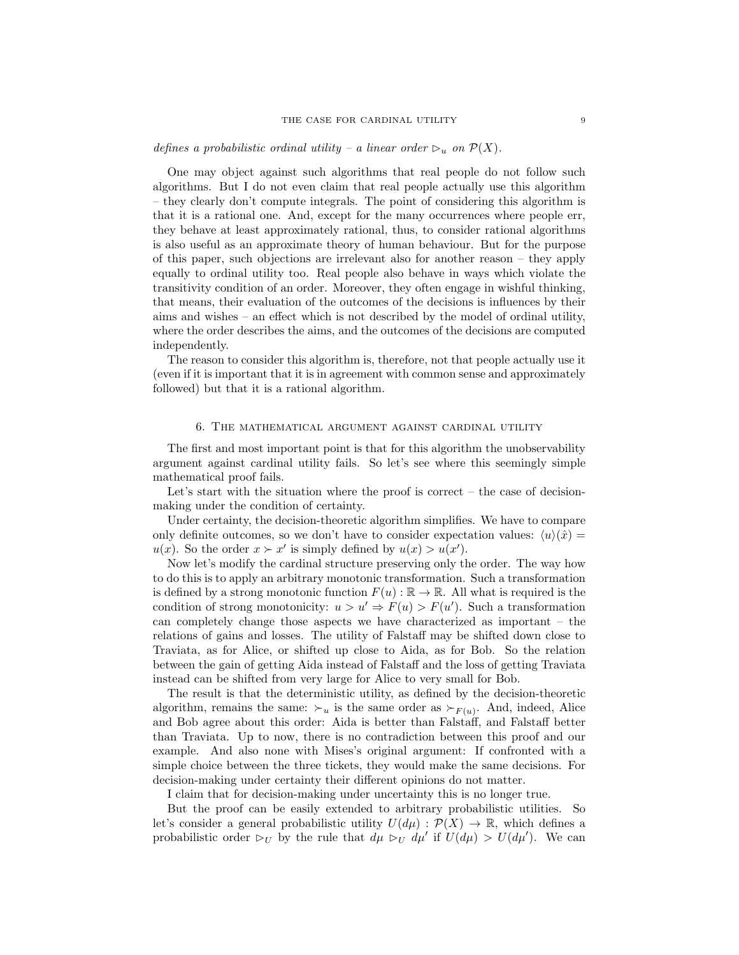# defines a probabilistic ordinal utility – a linear order  $\triangleright_u$  on  $\mathcal{P}(X)$ .

One may object against such algorithms that real people do not follow such algorithms. But I do not even claim that real people actually use this algorithm – they clearly don't compute integrals. The point of considering this algorithm is that it is a rational one. And, except for the many occurrences where people err, they behave at least approximately rational, thus, to consider rational algorithms is also useful as an approximate theory of human behaviour. But for the purpose of this paper, such objections are irrelevant also for another reason – they apply equally to ordinal utility too. Real people also behave in ways which violate the transitivity condition of an order. Moreover, they often engage in wishful thinking, that means, their evaluation of the outcomes of the decisions is influences by their aims and wishes – an effect which is not described by the model of ordinal utility, where the order describes the aims, and the outcomes of the decisions are computed independently.

The reason to consider this algorithm is, therefore, not that people actually use it (even if it is important that it is in agreement with common sense and approximately followed) but that it is a rational algorithm.

#### 6. The mathematical argument against cardinal utility

<span id="page-8-0"></span>The first and most important point is that for this algorithm the unobservability argument against cardinal utility fails. So let's see where this seemingly simple mathematical proof fails.

Let's start with the situation where the proof is correct – the case of decisionmaking under the condition of certainty.

Under certainty, the decision-theoretic algorithm simplifies. We have to compare only definite outcomes, so we don't have to consider expectation values:  $\langle u \rangle(\hat{x}) =$  $u(x)$ . So the order  $x \succ x'$  is simply defined by  $u(x) > u(x')$ .

Now let's modify the cardinal structure preserving only the order. The way how to do this is to apply an arbitrary monotonic transformation. Such a transformation is defined by a strong monotonic function  $F(u): \mathbb{R} \to \mathbb{R}$ . All what is required is the condition of strong monotonicity:  $u > u' \Rightarrow F(u) > F(u')$ . Such a transformation can completely change those aspects we have characterized as important – the relations of gains and losses. The utility of Falstaff may be shifted down close to Traviata, as for Alice, or shifted up close to Aida, as for Bob. So the relation between the gain of getting Aida instead of Falstaff and the loss of getting Traviata instead can be shifted from very large for Alice to very small for Bob.

The result is that the deterministic utility, as defined by the decision-theoretic algorithm, remains the same:  $\succ_u$  is the same order as  $\succ_{F(u)}$ . And, indeed, Alice and Bob agree about this order: Aida is better than Falstaff, and Falstaff better than Traviata. Up to now, there is no contradiction between this proof and our example. And also none with Mises's original argument: If confronted with a simple choice between the three tickets, they would make the same decisions. For decision-making under certainty their different opinions do not matter.

I claim that for decision-making under uncertainty this is no longer true.

But the proof can be easily extended to arbitrary probabilistic utilities. So let's consider a general probabilistic utility  $U(d\mu): \mathcal{P}(X) \to \mathbb{R}$ , which defines a probabilistic order  $\triangleright_U$  by the rule that  $d\mu \triangleright_U d\mu'$  if  $U(d\mu) > U(d\mu')$ . We can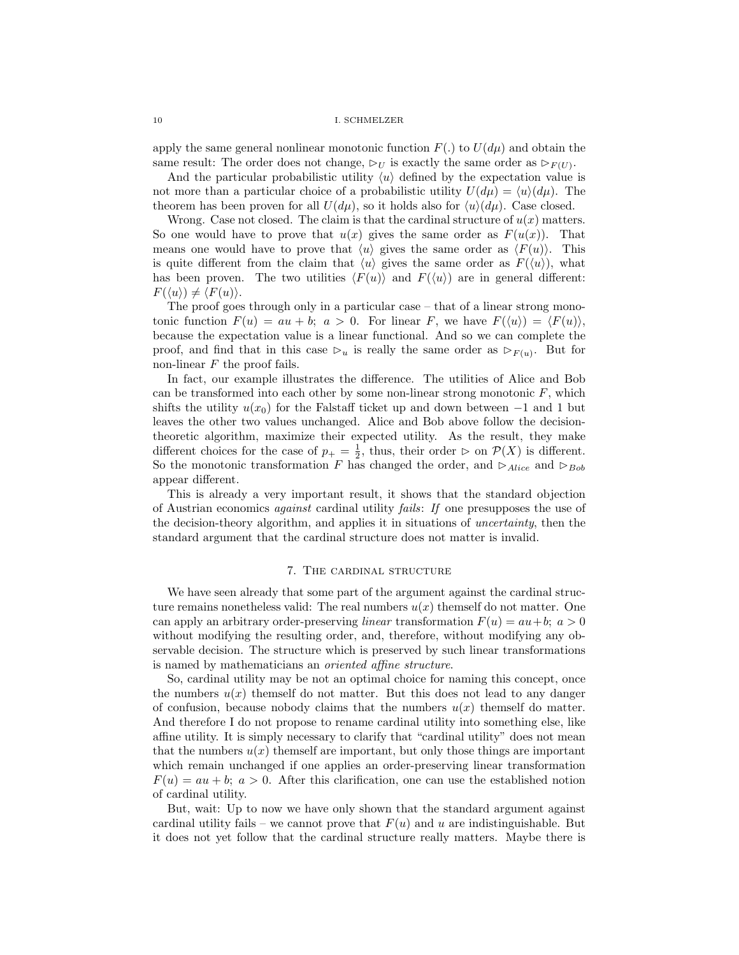apply the same general nonlinear monotonic function  $F(.)$  to  $U(d\mu)$  and obtain the same result: The order does not change,  $\triangleright_U$  is exactly the same order as  $\triangleright_{F(U)}$ .

And the particular probabilistic utility  $\langle u \rangle$  defined by the expectation value is not more than a particular choice of a probabilistic utility  $U(d\mu) = \langle u \rangle(d\mu)$ . The theorem has been proven for all  $U(d\mu)$ , so it holds also for  $\langle u \rangle(d\mu)$ . Case closed.

Wrong. Case not closed. The claim is that the cardinal structure of  $u(x)$  matters. So one would have to prove that  $u(x)$  gives the same order as  $F(u(x))$ . That means one would have to prove that  $\langle u \rangle$  gives the same order as  $\langle F(u) \rangle$ . This is quite different from the claim that  $\langle u \rangle$  gives the same order as  $F(\langle u \rangle)$ , what has been proven. The two utilities  $\langle F(u) \rangle$  and  $F(\langle u \rangle)$  are in general different:  $F(\langle u \rangle) \neq \langle F(u) \rangle$ .

The proof goes through only in a particular case – that of a linear strong monotonic function  $F(u) = au + b$ ;  $a > 0$ . For linear F, we have  $F(\langle u \rangle) = \langle F(u) \rangle$ , because the expectation value is a linear functional. And so we can complete the proof, and find that in this case  $\triangleright_u$  is really the same order as  $\triangleright_{F(u)}$ . But for non-linear  $F$  the proof fails.

In fact, our example illustrates the difference. The utilities of Alice and Bob can be transformed into each other by some non-linear strong monotonic  $F$ , which shifts the utility  $u(x_0)$  for the Falstaff ticket up and down between  $-1$  and 1 but leaves the other two values unchanged. Alice and Bob above follow the decisiontheoretic algorithm, maximize their expected utility. As the result, they make different choices for the case of  $p_+ = \frac{1}{2}$ , thus, their order  $\triangleright$  on  $\mathcal{P}(X)$  is different. So the monotonic transformation F has changed the order, and  $\triangleright_{Alice}$  and  $\triangleright_{Bob}$ appear different.

This is already a very important result, it shows that the standard objection of Austrian economics against cardinal utility fails: If one presupposes the use of the decision-theory algorithm, and applies it in situations of uncertainty, then the standard argument that the cardinal structure does not matter is invalid.

## 7. The cardinal structure

<span id="page-9-0"></span>We have seen already that some part of the argument against the cardinal structure remains nonetheless valid: The real numbers  $u(x)$  themself do not matter. One can apply an arbitrary order-preserving *linear* transformation  $F(u) = au + b$ ;  $a > 0$ without modifying the resulting order, and, therefore, without modifying any observable decision. The structure which is preserved by such linear transformations is named by mathematicians an oriented affine structure.

So, cardinal utility may be not an optimal choice for naming this concept, once the numbers  $u(x)$  themself do not matter. But this does not lead to any danger of confusion, because nobody claims that the numbers  $u(x)$  themself do matter. And therefore I do not propose to rename cardinal utility into something else, like affine utility. It is simply necessary to clarify that "cardinal utility" does not mean that the numbers  $u(x)$  themself are important, but only those things are important which remain unchanged if one applies an order-preserving linear transformation  $F(u) = au + b$ ;  $a > 0$ . After this clarification, one can use the established notion of cardinal utility.

But, wait: Up to now we have only shown that the standard argument against cardinal utility fails – we cannot prove that  $F(u)$  and u are indistinguishable. But it does not yet follow that the cardinal structure really matters. Maybe there is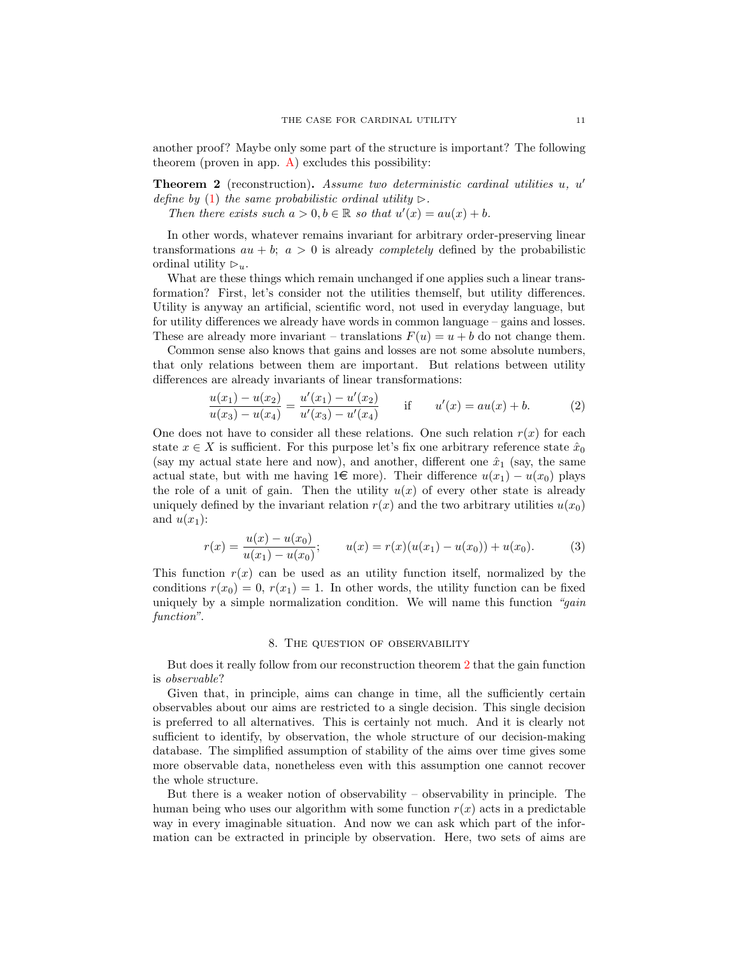another proof? Maybe only some part of the structure is important? The following theorem (proven in app.  $A$ ) excludes this possibility:

<span id="page-10-1"></span>**Theorem 2** (reconstruction). Assume two deterministic cardinal utilities  $u$ ,  $u'$ define by [\(1\)](#page-7-2) the same probabilistic ordinal utility  $\triangleright$ .

Then there exists such  $a > 0, b \in \mathbb{R}$  so that  $u'(x) = au(x) + b$ .

In other words, whatever remains invariant for arbitrary order-preserving linear transformations  $au + b$ ;  $a > 0$  is already *completely* defined by the probabilistic ordinal utility  $\triangleright_u$ .

What are these things which remain unchanged if one applies such a linear transformation? First, let's consider not the utilities themself, but utility differences. Utility is anyway an artificial, scientific word, not used in everyday language, but for utility differences we already have words in common language – gains and losses. These are already more invariant – translations  $F(u) = u + b$  do not change them.

Common sense also knows that gains and losses are not some absolute numbers, that only relations between them are important. But relations between utility differences are already invariants of linear transformations:

$$
\frac{u(x_1) - u(x_2)}{u(x_3) - u(x_4)} = \frac{u'(x_1) - u'(x_2)}{u'(x_3) - u'(x_4)} \qquad \text{if} \qquad u'(x) = au(x) + b. \tag{2}
$$

One does not have to consider all these relations. One such relation  $r(x)$  for each state  $x \in X$  is sufficient. For this purpose let's fix one arbitrary reference state  $\hat{x}_0$ (say my actual state here and now), and another, different one  $\hat{x}_1$  (say, the same actual state, but with me having 1 $\in$  more). Their difference  $u(x_1) - u(x_0)$  plays the role of a unit of gain. Then the utility  $u(x)$  of every other state is already uniquely defined by the invariant relation  $r(x)$  and the two arbitrary utilities  $u(x_0)$ and  $u(x_1)$ :

$$
r(x) = \frac{u(x) - u(x_0)}{u(x_1) - u(x_0)}; \qquad u(x) = r(x)(u(x_1) - u(x_0)) + u(x_0). \tag{3}
$$

This function  $r(x)$  can be used as an utility function itself, normalized by the conditions  $r(x_0) = 0$ ,  $r(x_1) = 1$ . In other words, the utility function can be fixed uniquely by a simple normalization condition. We will name this function " $gain$ " function".

# 8. The question of observability

<span id="page-10-0"></span>But does it really follow from our reconstruction theorem [2](#page-10-1) that the gain function is observable?

Given that, in principle, aims can change in time, all the sufficiently certain observables about our aims are restricted to a single decision. This single decision is preferred to all alternatives. This is certainly not much. And it is clearly not sufficient to identify, by observation, the whole structure of our decision-making database. The simplified assumption of stability of the aims over time gives some more observable data, nonetheless even with this assumption one cannot recover the whole structure.

But there is a weaker notion of observability – observability in principle. The human being who uses our algorithm with some function  $r(x)$  acts in a predictable way in every imaginable situation. And now we can ask which part of the information can be extracted in principle by observation. Here, two sets of aims are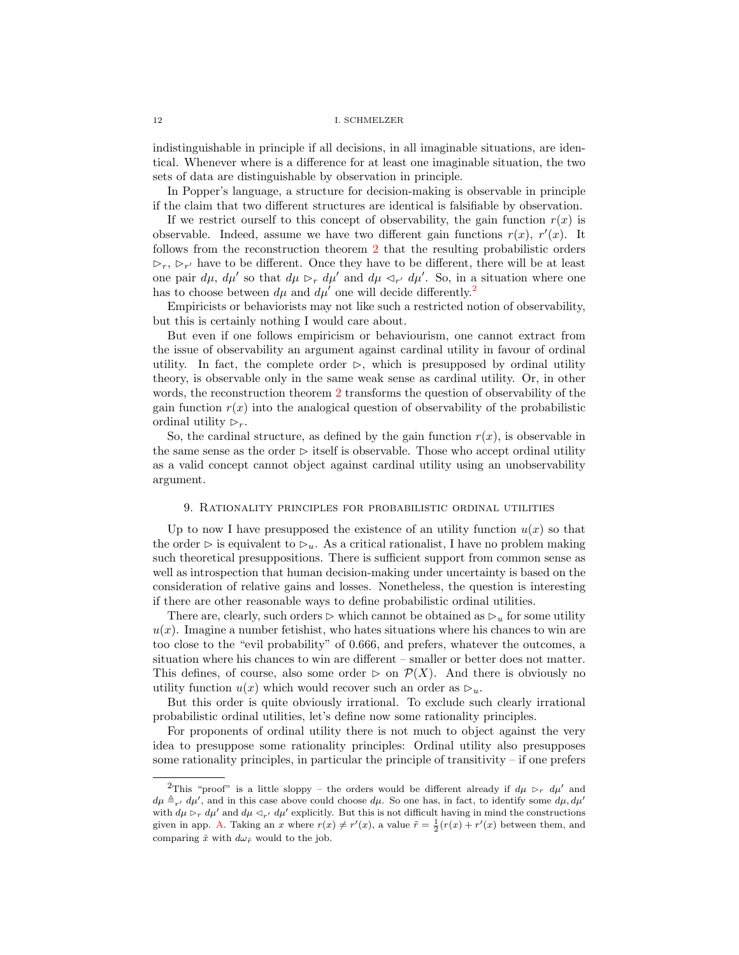indistinguishable in principle if all decisions, in all imaginable situations, are identical. Whenever where is a difference for at least one imaginable situation, the two sets of data are distinguishable by observation in principle.

In Popper's language, a structure for decision-making is observable in principle if the claim that two different structures are identical is falsifiable by observation.

If we restrict ourself to this concept of observability, the gain function  $r(x)$  is observable. Indeed, assume we have two different gain functions  $r(x)$ ,  $r'(x)$ . It follows from the reconstruction theorem [2](#page-10-1) that the resulting probabilistic orders  $\triangleright_r$ ,  $\triangleright_{r'}$  have to be different. Once they have to be different, there will be at least one pair  $d\mu$ ,  $d\mu'$  so that  $d\mu >_{r} d\mu'$  and  $d\mu <_{r'} d\mu'$ . So, in a situation where one has to choose between  $d\mu$  and  $d\mu'$  one will decide differently.<sup>[2](#page-11-1)</sup>

Empiricists or behaviorists may not like such a restricted notion of observability, but this is certainly nothing I would care about.

But even if one follows empiricism or behaviourism, one cannot extract from the issue of observability an argument against cardinal utility in favour of ordinal utility. In fact, the complete order  $\triangleright$ , which is presupposed by ordinal utility theory, is observable only in the same weak sense as cardinal utility. Or, in other words, the reconstruction theorem [2](#page-10-1) transforms the question of observability of the gain function  $r(x)$  into the analogical question of observability of the probabilistic ordinal utility  $\triangleright_r$ .

So, the cardinal structure, as defined by the gain function  $r(x)$ , is observable in the same sense as the order  $\triangleright$  itself is observable. Those who accept ordinal utility as a valid concept cannot object against cardinal utility using an unobservability argument.

### 9. Rationality principles for probabilistic ordinal utilities

<span id="page-11-0"></span>Up to now I have presupposed the existence of an utility function  $u(x)$  so that the order  $\triangleright$  is equivalent to  $\triangleright_{u}$ . As a critical rationalist, I have no problem making such theoretical presuppositions. There is sufficient support from common sense as well as introspection that human decision-making under uncertainty is based on the consideration of relative gains and losses. Nonetheless, the question is interesting if there are other reasonable ways to define probabilistic ordinal utilities.

There are, clearly, such orders  $\triangleright$  which cannot be obtained as  $\triangleright_u$  for some utility  $u(x)$ . Imagine a number fetishist, who hates situations where his chances to win are too close to the "evil probability" of 0.666, and prefers, whatever the outcomes, a situation where his chances to win are different – smaller or better does not matter. This defines, of course, also some order  $\triangleright$  on  $\mathcal{P}(X)$ . And there is obviously no utility function  $u(x)$  which would recover such an order as  $\triangleright_u$ .

But this order is quite obviously irrational. To exclude such clearly irrational probabilistic ordinal utilities, let's define now some rationality principles.

For proponents of ordinal utility there is not much to object against the very idea to presuppose some rationality principles: Ordinal utility also presupposes some rationality principles, in particular the principle of transitivity  $-$  if one prefers

<span id="page-11-1"></span><sup>&</sup>lt;sup>2</sup>This "proof" is a little sloppy – the orders would be different already if  $d\mu \triangleright_r d\mu'$  and  $d\mu \triangleq_{r'} d\mu'$ , and in this case above could choose  $d\mu$ . So one has, in fact, to identify some  $d\mu$ ,  $d\mu'$ with  $d\mu \rhd_r d\mu'$  and  $d\mu \rhd_{r'} d\mu'$  explicitly. But this is not difficult having in mind the constructions given in app. [A.](#page-20-0) Taking an x where  $r(x) \neq r'(x)$ , a value  $\tilde{r} = \frac{1}{2}(r(x) + r'(x))$  between them, and comparing  $\hat{x}$  with  $d\omega_{\tilde{r}}$  would to the job.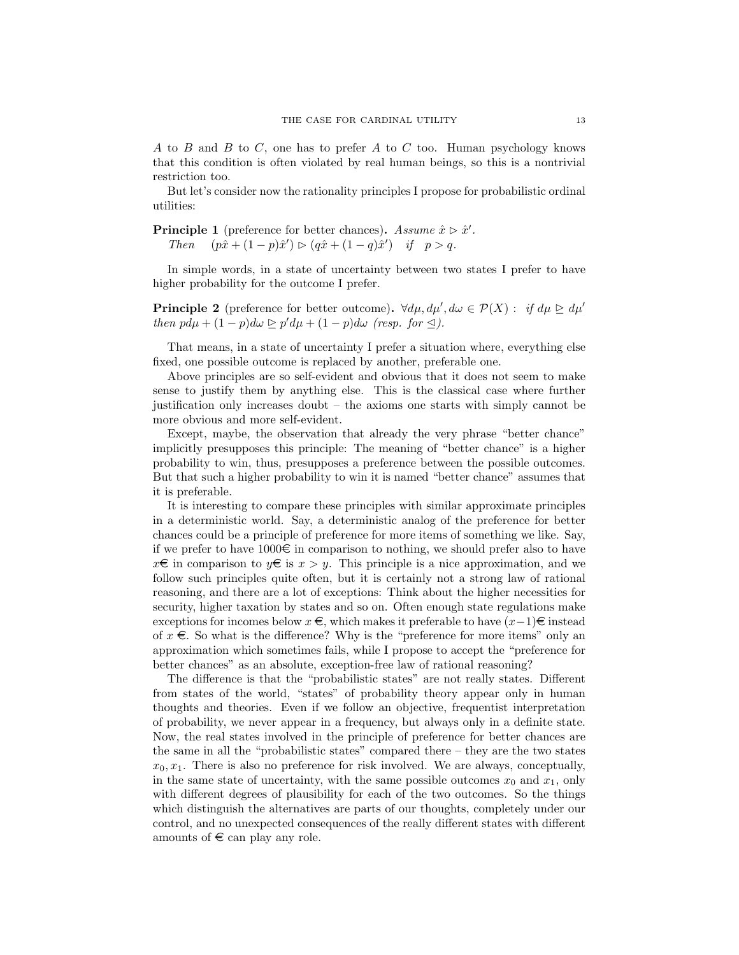$A$  to  $B$  and  $B$  to  $C$ , one has to prefer  $A$  to  $C$  too. Human psychology knows that this condition is often violated by real human beings, so this is a nontrivial restriction too.

But let's consider now the rationality principles I propose for probabilistic ordinal utilities:

**Principle 1** (preference for better chances). Assume  $\hat{x} \triangleright \hat{x}'$ . Then  $(p\hat{x} + (1-p)\hat{x}') \triangleright (q\hat{x} + (1-q)\hat{x}')$  if  $p > q$ .

In simple words, in a state of uncertainty between two states I prefer to have higher probability for the outcome I prefer.

**Principle 2** (preference for better outcome).  $\forall d\mu, d\mu', d\omega \in \mathcal{P}(X)$ : if  $d\mu \geq d\mu'$ then  $pd\mu + (1-p)d\omega \geq p'd\mu + (1-p)d\omega$  (resp. for  $\leq$ ).

That means, in a state of uncertainty I prefer a situation where, everything else fixed, one possible outcome is replaced by another, preferable one.

Above principles are so self-evident and obvious that it does not seem to make sense to justify them by anything else. This is the classical case where further justification only increases doubt – the axioms one starts with simply cannot be more obvious and more self-evident.

Except, maybe, the observation that already the very phrase "better chance" implicitly presupposes this principle: The meaning of "better chance" is a higher probability to win, thus, presupposes a preference between the possible outcomes. But that such a higher probability to win it is named "better chance" assumes that it is preferable.

It is interesting to compare these principles with similar approximate principles in a deterministic world. Say, a deterministic analog of the preference for better chances could be a principle of preference for more items of something we like. Say, if we prefer to have  $1000\epsilon$  in comparison to nothing, we should prefer also to have  $x \in \mathbb{R}$  in comparison to  $y \in \mathbb{R}$  is  $x > y$ . This principle is a nice approximation, and we follow such principles quite often, but it is certainly not a strong law of rational reasoning, and there are a lot of exceptions: Think about the higher necessities for security, higher taxation by states and so on. Often enough state regulations make exceptions for incomes below  $x \in$ , which makes it preferable to have  $(x-1) \in$  instead of  $x \in$ . So what is the difference? Why is the "preference for more items" only an approximation which sometimes fails, while I propose to accept the "preference for better chances" as an absolute, exception-free law of rational reasoning?

The difference is that the "probabilistic states" are not really states. Different from states of the world, "states" of probability theory appear only in human thoughts and theories. Even if we follow an objective, frequentist interpretation of probability, we never appear in a frequency, but always only in a definite state. Now, the real states involved in the principle of preference for better chances are the same in all the "probabilistic states" compared there – they are the two states  $x_0, x_1$ . There is also no preference for risk involved. We are always, conceptually, in the same state of uncertainty, with the same possible outcomes  $x_0$  and  $x_1$ , only with different degrees of plausibility for each of the two outcomes. So the things which distinguish the alternatives are parts of our thoughts, completely under our control, and no unexpected consequences of the really different states with different amounts of  $\epsilon$  can play any role.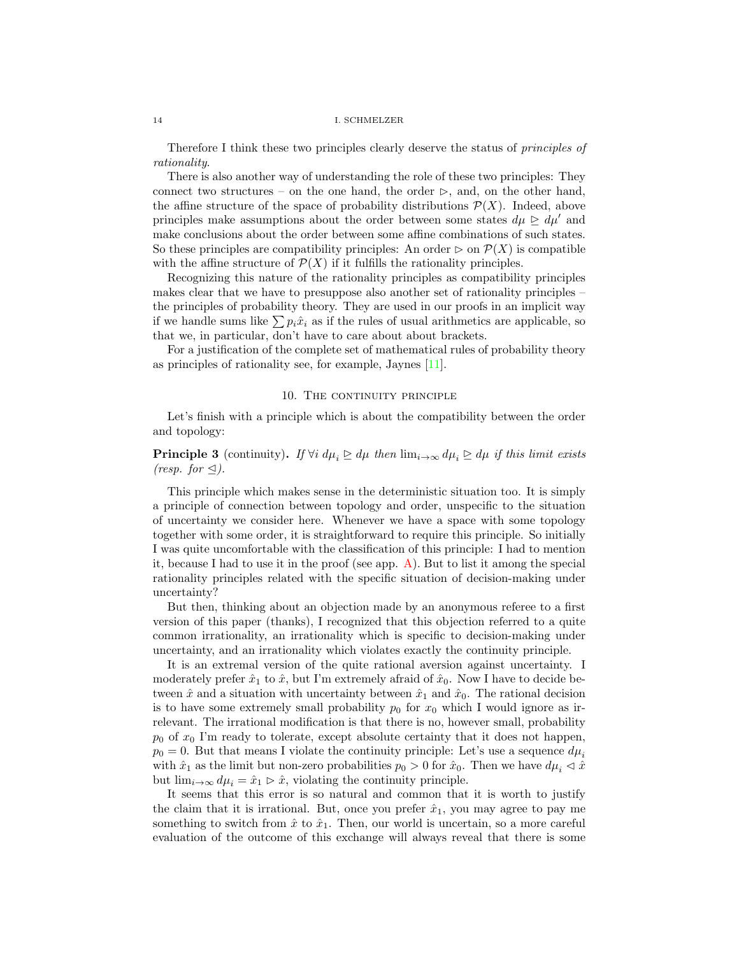Therefore I think these two principles clearly deserve the status of principles of rationality.

There is also another way of understanding the role of these two principles: They connect two structures – on the one hand, the order  $\triangleright$ , and, on the other hand, the affine structure of the space of probability distributions  $\mathcal{P}(X)$ . Indeed, above principles make assumptions about the order between some states  $d\mu \geq d\mu'$  and make conclusions about the order between some affine combinations of such states. So these principles are compatibility principles: An order  $\triangleright$  on  $\mathcal{P}(X)$  is compatible with the affine structure of  $\mathcal{P}(X)$  if it fulfills the rationality principles.

Recognizing this nature of the rationality principles as compatibility principles makes clear that we have to presuppose also another set of rationality principles – the principles of probability theory. They are used in our proofs in an implicit way if we handle sums like  $\sum p_i \hat{x}_i$  as if the rules of usual arithmetics are applicable, so that we, in particular, don't have to care about about brackets.

For a justification of the complete set of mathematical rules of probability theory as principles of rationality see, for example, Jaynes [\[11\]](#page-22-10).

# 10. THE CONTINUITY PRINCIPLE

<span id="page-13-0"></span>Let's finish with a principle which is about the compatibility between the order and topology:

**Principle 3** (continuity). If  $\forall i \, d\mu_i \trianglerighteq d\mu$  then  $\lim_{i\to\infty} d\mu_i \trianglerighteq d\mu$  if this limit exists (resp. for  $\leq$ ).

This principle which makes sense in the deterministic situation too. It is simply a principle of connection between topology and order, unspecific to the situation of uncertainty we consider here. Whenever we have a space with some topology together with some order, it is straightforward to require this principle. So initially I was quite uncomfortable with the classification of this principle: I had to mention it, because I had to use it in the proof (see app. [A\)](#page-20-0). But to list it among the special rationality principles related with the specific situation of decision-making under uncertainty?

But then, thinking about an objection made by an anonymous referee to a first version of this paper (thanks), I recognized that this objection referred to a quite common irrationality, an irrationality which is specific to decision-making under uncertainty, and an irrationality which violates exactly the continuity principle.

It is an extremal version of the quite rational aversion against uncertainty. I moderately prefer  $\hat{x}_1$  to  $\hat{x}$ , but I'm extremely afraid of  $\hat{x}_0$ . Now I have to decide between  $\hat{x}$  and a situation with uncertainty between  $\hat{x}_1$  and  $\hat{x}_0$ . The rational decision is to have some extremely small probability  $p_0$  for  $x_0$  which I would ignore as irrelevant. The irrational modification is that there is no, however small, probability  $p_0$  of  $x_0$  I'm ready to tolerate, except absolute certainty that it does not happen,  $p_0 = 0$ . But that means I violate the continuity principle: Let's use a sequence  $d\mu_i$ with  $\hat{x}_1$  as the limit but non-zero probabilities  $p_0 > 0$  for  $\hat{x}_0$ . Then we have  $d\mu_i \lhd \hat{x}$ but  $\lim_{i\to\infty} d\mu_i = \hat{x}_1 \triangleright \hat{x}$ , violating the continuity principle.

It seems that this error is so natural and common that it is worth to justify the claim that it is irrational. But, once you prefer  $\hat{x}_1$ , you may agree to pay me something to switch from  $\hat{x}$  to  $\hat{x}_1$ . Then, our world is uncertain, so a more careful evaluation of the outcome of this exchange will always reveal that there is some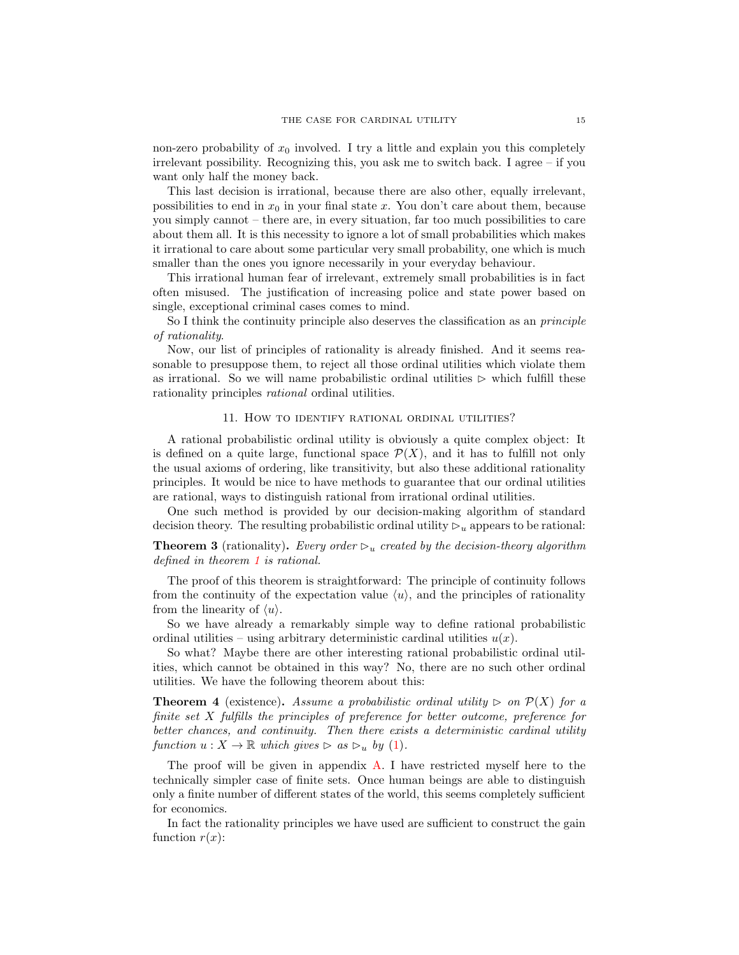non-zero probability of  $x_0$  involved. I try a little and explain you this completely irrelevant possibility. Recognizing this, you ask me to switch back. I agree – if you want only half the money back.

This last decision is irrational, because there are also other, equally irrelevant, possibilities to end in  $x_0$  in your final state x. You don't care about them, because you simply cannot – there are, in every situation, far too much possibilities to care about them all. It is this necessity to ignore a lot of small probabilities which makes it irrational to care about some particular very small probability, one which is much smaller than the ones you ignore necessarily in your everyday behaviour.

This irrational human fear of irrelevant, extremely small probabilities is in fact often misused. The justification of increasing police and state power based on single, exceptional criminal cases comes to mind.

So I think the continuity principle also deserves the classification as an *principle* of rationality.

Now, our list of principles of rationality is already finished. And it seems reasonable to presuppose them, to reject all those ordinal utilities which violate them as irrational. So we will name probabilistic ordinal utilities  $\triangleright$  which fulfill these rationality principles rational ordinal utilities.

# 11. How to identify rational ordinal utilities?

<span id="page-14-0"></span>A rational probabilistic ordinal utility is obviously a quite complex object: It is defined on a quite large, functional space  $\mathcal{P}(X)$ , and it has to fulfill not only the usual axioms of ordering, like transitivity, but also these additional rationality principles. It would be nice to have methods to guarantee that our ordinal utilities are rational, ways to distinguish rational from irrational ordinal utilities.

One such method is provided by our decision-making algorithm of standard decision theory. The resulting probabilistic ordinal utility  $\mathcal{D}_u$  appears to be rational:

**Theorem 3** (rationality). Every order  $\triangleright_u$  created by the decision-theory algorithm defined in theorem [1](#page-7-3) is rational.

The proof of this theorem is straightforward: The principle of continuity follows from the continuity of the expectation value  $\langle u \rangle$ , and the principles of rationality from the linearity of  $\langle u \rangle$ .

So we have already a remarkably simple way to define rational probabilistic ordinal utilities – using arbitrary deterministic cardinal utilities  $u(x)$ .

So what? Maybe there are other interesting rational probabilistic ordinal utilities, which cannot be obtained in this way? No, there are no such other ordinal utilities. We have the following theorem about this:

<span id="page-14-1"></span>**Theorem 4** (existence). Assume a probabilistic ordinal utility  $\triangleright$  on  $\mathcal{P}(X)$  for a finite set X fulfills the principles of preference for better outcome, preference for better chances, and continuity. Then there exists a deterministic cardinal utility function  $u: X \to \mathbb{R}$  which gives  $\triangleright$  as  $\triangleright_u$  by [\(1\)](#page-7-2).

The proof will be given in appendix [A.](#page-20-0) I have restricted myself here to the technically simpler case of finite sets. Once human beings are able to distinguish only a finite number of different states of the world, this seems completely sufficient for economics.

In fact the rationality principles we have used are sufficient to construct the gain function  $r(x)$ :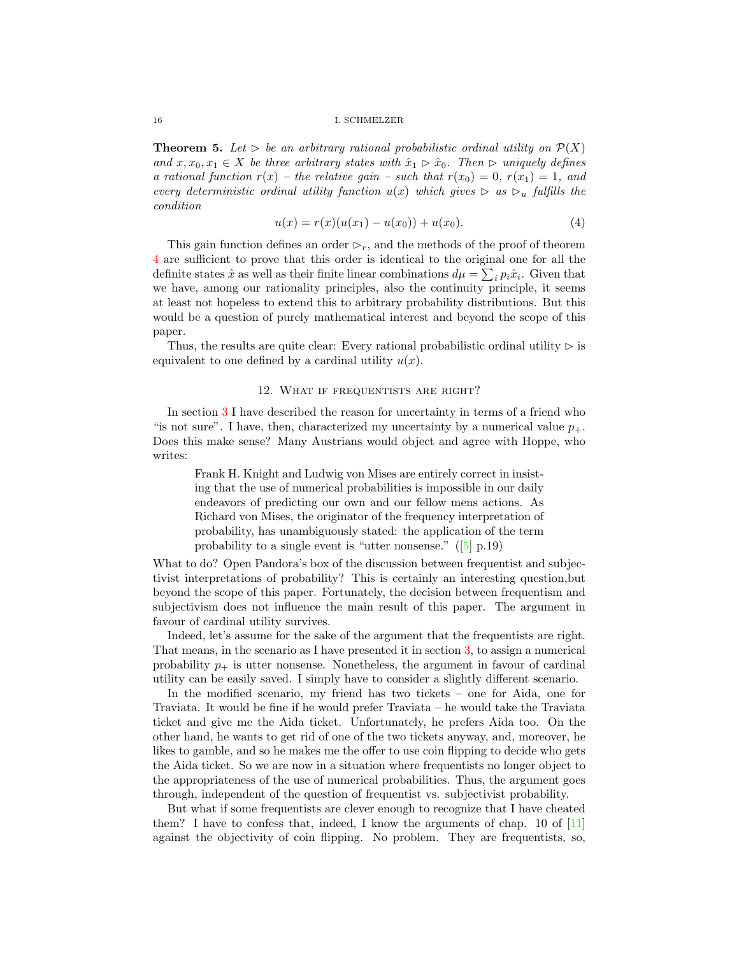<span id="page-15-1"></span>**Theorem 5.** Let  $\triangleright$  be an arbitrary rational probabilistic ordinal utility on  $\mathcal{P}(X)$ and  $x, x_0, x_1 \in X$  be three arbitrary states with  $\hat{x}_1 \triangleright \hat{x}_0$ . Then  $\triangleright$  uniquely defines a rational function  $r(x)$  – the relative gain – such that  $r(x_0) = 0$ ,  $r(x_1) = 1$ , and every deterministic ordinal utility function  $u(x)$  which gives  $\triangleright$  as  $\triangleright_u$  fulfills the condition

<span id="page-15-2"></span>
$$
u(x) = r(x)(u(x_1) - u(x_0)) + u(x_0).
$$
\n(4)

This gain function defines an order  $\triangleright_r$ , and the methods of the proof of theorem [4](#page-14-1) are sufficient to prove that this order is identical to the original one for all the definite states  $\hat{x}$  as well as their finite linear combinations  $d\mu = \sum_i p_i \hat{x}_i$ . Given that we have, among our rationality principles, also the continuity principle, it seems at least not hopeless to extend this to arbitrary probability distributions. But this would be a question of purely mathematical interest and beyond the scope of this paper.

Thus, the results are quite clear: Every rational probabilistic ordinal utility  $\triangleright$  is equivalent to one defined by a cardinal utility  $u(x)$ .

## 12. What if frequentists are right?

<span id="page-15-0"></span>In section [3](#page-5-0) I have described the reason for uncertainty in terms of a friend who "is not sure". I have, then, characterized my uncertainty by a numerical value  $p_{+}$ . Does this make sense? Many Austrians would object and agree with Hoppe, who writes:

Frank H. Knight and Ludwig von Mises are entirely correct in insisting that the use of numerical probabilities is impossible in our daily endeavors of predicting our own and our fellow mens actions. As Richard von Mises, the originator of the frequency interpretation of probability, has unambiguously stated: the application of the term probability to a single event is "utter nonsense." ([\[5\]](#page-22-11) p.19)

What to do? Open Pandora's box of the discussion between frequentist and subjectivist interpretations of probability? This is certainly an interesting question,but beyond the scope of this paper. Fortunately, the decision between frequentism and subjectivism does not influence the main result of this paper. The argument in favour of cardinal utility survives.

Indeed, let's assume for the sake of the argument that the frequentists are right. That means, in the scenario as I have presented it in section [3,](#page-5-0) to assign a numerical probability  $p_+$  is utter nonsense. Nonetheless, the argument in favour of cardinal utility can be easily saved. I simply have to consider a slightly different scenario.

In the modified scenario, my friend has two tickets – one for Aida, one for Traviata. It would be fine if he would prefer Traviata – he would take the Traviata ticket and give me the Aida ticket. Unfortunately, he prefers Aida too. On the other hand, he wants to get rid of one of the two tickets anyway, and, moreover, he likes to gamble, and so he makes me the offer to use coin flipping to decide who gets the Aida ticket. So we are now in a situation where frequentists no longer object to the appropriateness of the use of numerical probabilities. Thus, the argument goes through, independent of the question of frequentist vs. subjectivist probability.

But what if some frequentists are clever enough to recognize that I have cheated them? I have to confess that, indeed, I know the arguments of chap. 10 of  $[11]$ against the objectivity of coin flipping. No problem. They are frequentists, so,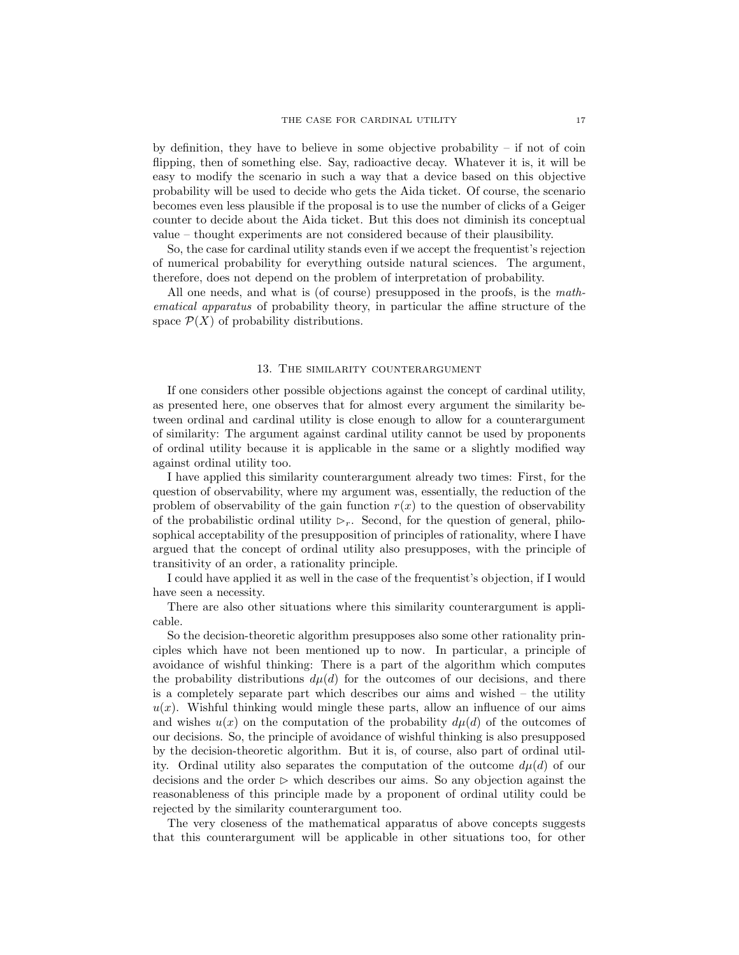by definition, they have to believe in some objective probability  $-$  if not of coin flipping, then of something else. Say, radioactive decay. Whatever it is, it will be easy to modify the scenario in such a way that a device based on this objective probability will be used to decide who gets the Aida ticket. Of course, the scenario becomes even less plausible if the proposal is to use the number of clicks of a Geiger counter to decide about the Aida ticket. But this does not diminish its conceptual value – thought experiments are not considered because of their plausibility.

So, the case for cardinal utility stands even if we accept the frequentist's rejection of numerical probability for everything outside natural sciences. The argument, therefore, does not depend on the problem of interpretation of probability.

All one needs, and what is (of course) presupposed in the proofs, is the mathematical apparatus of probability theory, in particular the affine structure of the space  $\mathcal{P}(X)$  of probability distributions.

### 13. The similarity counterargument

<span id="page-16-0"></span>If one considers other possible objections against the concept of cardinal utility, as presented here, one observes that for almost every argument the similarity between ordinal and cardinal utility is close enough to allow for a counterargument of similarity: The argument against cardinal utility cannot be used by proponents of ordinal utility because it is applicable in the same or a slightly modified way against ordinal utility too.

I have applied this similarity counterargument already two times: First, for the question of observability, where my argument was, essentially, the reduction of the problem of observability of the gain function  $r(x)$  to the question of observability of the probabilistic ordinal utility  $\triangleright_r$ . Second, for the question of general, philosophical acceptability of the presupposition of principles of rationality, where I have argued that the concept of ordinal utility also presupposes, with the principle of transitivity of an order, a rationality principle.

I could have applied it as well in the case of the frequentist's objection, if I would have seen a necessity.

There are also other situations where this similarity counterargument is applicable.

So the decision-theoretic algorithm presupposes also some other rationality principles which have not been mentioned up to now. In particular, a principle of avoidance of wishful thinking: There is a part of the algorithm which computes the probability distributions  $d\mu(d)$  for the outcomes of our decisions, and there is a completely separate part which describes our aims and wished – the utility  $u(x)$ . Wishful thinking would mingle these parts, allow an influence of our aims and wishes  $u(x)$  on the computation of the probability  $d\mu(d)$  of the outcomes of our decisions. So, the principle of avoidance of wishful thinking is also presupposed by the decision-theoretic algorithm. But it is, of course, also part of ordinal utility. Ordinal utility also separates the computation of the outcome  $d\mu(d)$  of our decisions and the order  $\triangleright$  which describes our aims. So any objection against the reasonableness of this principle made by a proponent of ordinal utility could be rejected by the similarity counterargument too.

The very closeness of the mathematical apparatus of above concepts suggests that this counterargument will be applicable in other situations too, for other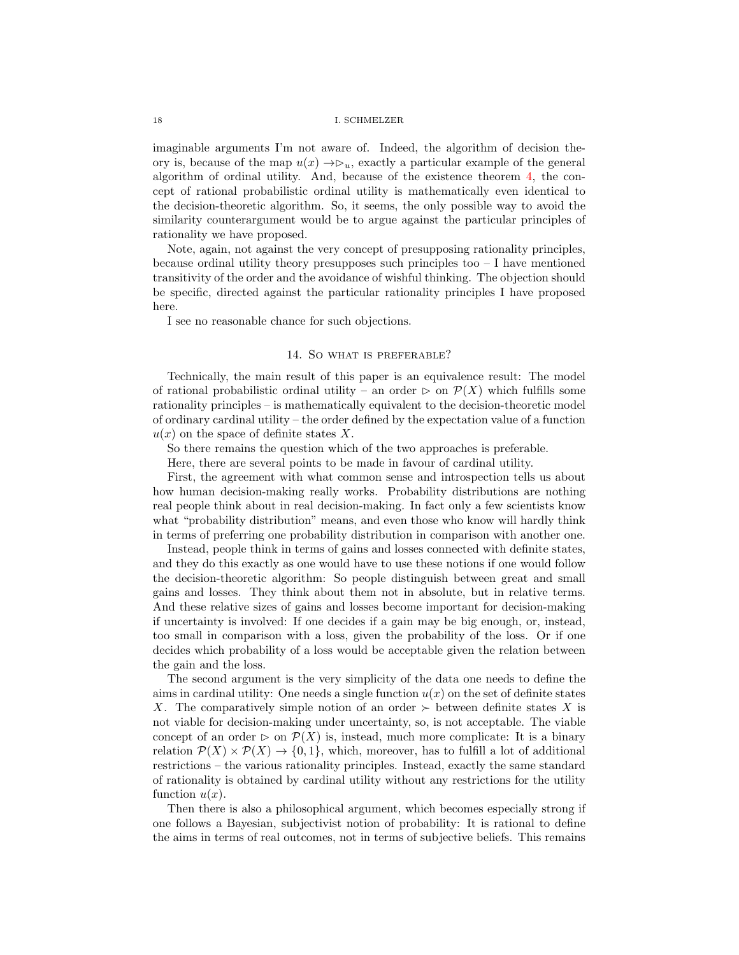imaginable arguments I'm not aware of. Indeed, the algorithm of decision theory is, because of the map  $u(x) \rightarrow \infty_u$ , exactly a particular example of the general algorithm of ordinal utility. And, because of the existence theorem [4,](#page-14-1) the concept of rational probabilistic ordinal utility is mathematically even identical to the decision-theoretic algorithm. So, it seems, the only possible way to avoid the similarity counterargument would be to argue against the particular principles of rationality we have proposed.

Note, again, not against the very concept of presupposing rationality principles, because ordinal utility theory presupposes such principles too  $-1$  have mentioned transitivity of the order and the avoidance of wishful thinking. The objection should be specific, directed against the particular rationality principles I have proposed here.

I see no reasonable chance for such objections.

# 14. So what is preferable?

<span id="page-17-0"></span>Technically, the main result of this paper is an equivalence result: The model of rational probabilistic ordinal utility – an order  $\triangleright$  on  $\mathcal{P}(X)$  which fulfills some rationality principles – is mathematically equivalent to the decision-theoretic model of ordinary cardinal utility – the order defined by the expectation value of a function  $u(x)$  on the space of definite states X.

So there remains the question which of the two approaches is preferable.

Here, there are several points to be made in favour of cardinal utility.

First, the agreement with what common sense and introspection tells us about how human decision-making really works. Probability distributions are nothing real people think about in real decision-making. In fact only a few scientists know what "probability distribution" means, and even those who know will hardly think in terms of preferring one probability distribution in comparison with another one.

Instead, people think in terms of gains and losses connected with definite states, and they do this exactly as one would have to use these notions if one would follow the decision-theoretic algorithm: So people distinguish between great and small gains and losses. They think about them not in absolute, but in relative terms. And these relative sizes of gains and losses become important for decision-making if uncertainty is involved: If one decides if a gain may be big enough, or, instead, too small in comparison with a loss, given the probability of the loss. Or if one decides which probability of a loss would be acceptable given the relation between the gain and the loss.

The second argument is the very simplicity of the data one needs to define the aims in cardinal utility: One needs a single function  $u(x)$  on the set of definite states X. The comparatively simple notion of an order  $\succ$  between definite states X is not viable for decision-making under uncertainty, so, is not acceptable. The viable concept of an order  $\triangleright$  on  $\mathcal{P}(X)$  is, instead, much more complicate: It is a binary relation  $\mathcal{P}(X) \times \mathcal{P}(X) \rightarrow \{0,1\}$ , which, moreover, has to fulfill a lot of additional restrictions – the various rationality principles. Instead, exactly the same standard of rationality is obtained by cardinal utility without any restrictions for the utility function  $u(x)$ .

Then there is also a philosophical argument, which becomes especially strong if one follows a Bayesian, subjectivist notion of probability: It is rational to define the aims in terms of real outcomes, not in terms of subjective beliefs. This remains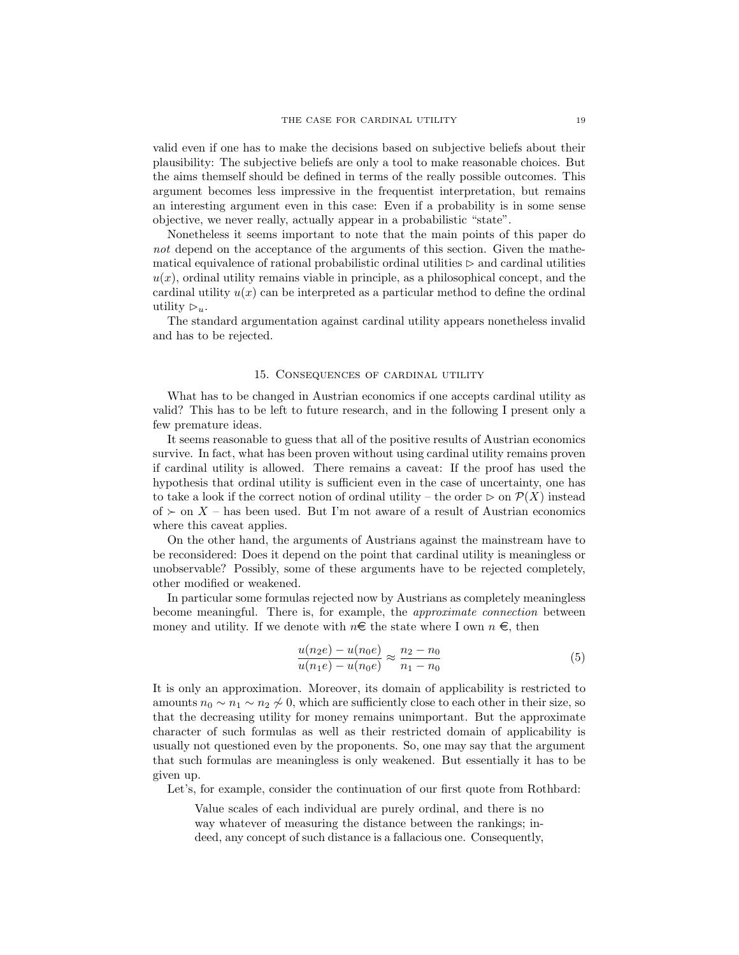valid even if one has to make the decisions based on subjective beliefs about their plausibility: The subjective beliefs are only a tool to make reasonable choices. But the aims themself should be defined in terms of the really possible outcomes. This argument becomes less impressive in the frequentist interpretation, but remains an interesting argument even in this case: Even if a probability is in some sense objective, we never really, actually appear in a probabilistic "state".

Nonetheless it seems important to note that the main points of this paper do not depend on the acceptance of the arguments of this section. Given the mathematical equivalence of rational probabilistic ordinal utilities  $\triangleright$  and cardinal utilities  $u(x)$ , ordinal utility remains viable in principle, as a philosophical concept, and the cardinal utility  $u(x)$  can be interpreted as a particular method to define the ordinal utility  $\triangleright_{u}$ .

The standard argumentation against cardinal utility appears nonetheless invalid and has to be rejected.

#### 15. Consequences of cardinal utility

<span id="page-18-0"></span>What has to be changed in Austrian economics if one accepts cardinal utility as valid? This has to be left to future research, and in the following I present only a few premature ideas.

It seems reasonable to guess that all of the positive results of Austrian economics survive. In fact, what has been proven without using cardinal utility remains proven if cardinal utility is allowed. There remains a caveat: If the proof has used the hypothesis that ordinal utility is sufficient even in the case of uncertainty, one has to take a look if the correct notion of ordinal utility – the order  $\triangleright$  on  $\mathcal{P}(X)$  instead of  $\succ$  on X – has been used. But I'm not aware of a result of Austrian economics where this caveat applies.

On the other hand, the arguments of Austrians against the mainstream have to be reconsidered: Does it depend on the point that cardinal utility is meaningless or unobservable? Possibly, some of these arguments have to be rejected completely, other modified or weakened.

In particular some formulas rejected now by Austrians as completely meaningless become meaningful. There is, for example, the approximate connection between money and utility. If we denote with  $n \in \mathbb{R}$  the state where I own  $n \in \mathbb{R}$ , then

$$
\frac{u(n_2e) - u(n_0e)}{u(n_1e) - u(n_0e)} \approx \frac{n_2 - n_0}{n_1 - n_0} \tag{5}
$$

It is only an approximation. Moreover, its domain of applicability is restricted to amounts  $n_0 \sim n_1 \sim n_2 \nsim 0$ , which are sufficiently close to each other in their size, so that the decreasing utility for money remains unimportant. But the approximate character of such formulas as well as their restricted domain of applicability is usually not questioned even by the proponents. So, one may say that the argument that such formulas are meaningless is only weakened. But essentially it has to be given up.

Let's, for example, consider the continuation of our first quote from Rothbard:

Value scales of each individual are purely ordinal, and there is no way whatever of measuring the distance between the rankings; indeed, any concept of such distance is a fallacious one. Consequently,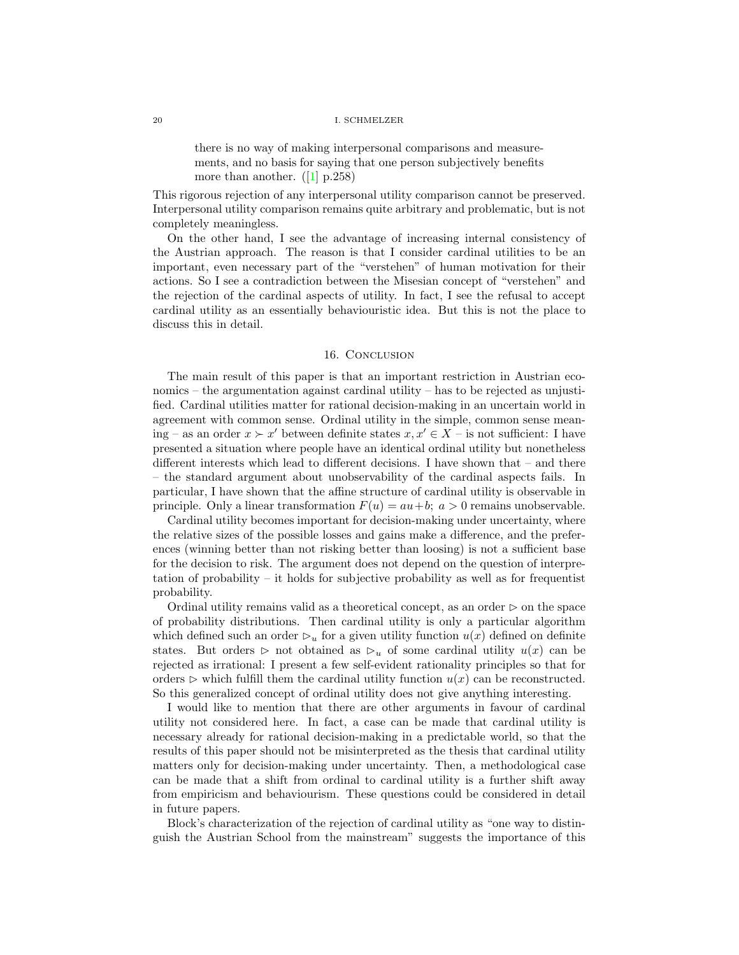there is no way of making interpersonal comparisons and measurements, and no basis for saying that one person subjectively benefits more than another.  $([1]$  $([1]$  p.258)

This rigorous rejection of any interpersonal utility comparison cannot be preserved. Interpersonal utility comparison remains quite arbitrary and problematic, but is not completely meaningless.

On the other hand, I see the advantage of increasing internal consistency of the Austrian approach. The reason is that I consider cardinal utilities to be an important, even necessary part of the "verstehen" of human motivation for their actions. So I see a contradiction between the Misesian concept of "verstehen" and the rejection of the cardinal aspects of utility. In fact, I see the refusal to accept cardinal utility as an essentially behaviouristic idea. But this is not the place to discuss this in detail.

### 16. Conclusion

<span id="page-19-0"></span>The main result of this paper is that an important restriction in Austrian economics – the argumentation against cardinal utility – has to be rejected as unjustified. Cardinal utilities matter for rational decision-making in an uncertain world in agreement with common sense. Ordinal utility in the simple, common sense meaning – as an order  $x \succ x'$  between definite states  $x, x' \in X$  – is not sufficient: I have presented a situation where people have an identical ordinal utility but nonetheless different interests which lead to different decisions. I have shown that – and there – the standard argument about unobservability of the cardinal aspects fails. In particular, I have shown that the affine structure of cardinal utility is observable in principle. Only a linear transformation  $F(u) = au + b$ ;  $a > 0$  remains unobservable.

Cardinal utility becomes important for decision-making under uncertainty, where the relative sizes of the possible losses and gains make a difference, and the preferences (winning better than not risking better than loosing) is not a sufficient base for the decision to risk. The argument does not depend on the question of interpretation of probability – it holds for subjective probability as well as for frequentist probability.

Ordinal utility remains valid as a theoretical concept, as an order  $\triangleright$  on the space of probability distributions. Then cardinal utility is only a particular algorithm which defined such an order  $\mathcal{D}_u$  for a given utility function  $u(x)$  defined on definite states. But orders  $\triangleright$  not obtained as  $\triangleright_u$  of some cardinal utility  $u(x)$  can be rejected as irrational: I present a few self-evident rationality principles so that for orders  $\triangleright$  which fulfill them the cardinal utility function  $u(x)$  can be reconstructed. So this generalized concept of ordinal utility does not give anything interesting.

I would like to mention that there are other arguments in favour of cardinal utility not considered here. In fact, a case can be made that cardinal utility is necessary already for rational decision-making in a predictable world, so that the results of this paper should not be misinterpreted as the thesis that cardinal utility matters only for decision-making under uncertainty. Then, a methodological case can be made that a shift from ordinal to cardinal utility is a further shift away from empiricism and behaviourism. These questions could be considered in detail in future papers.

Block's characterization of the rejection of cardinal utility as "one way to distinguish the Austrian School from the mainstream" suggests the importance of this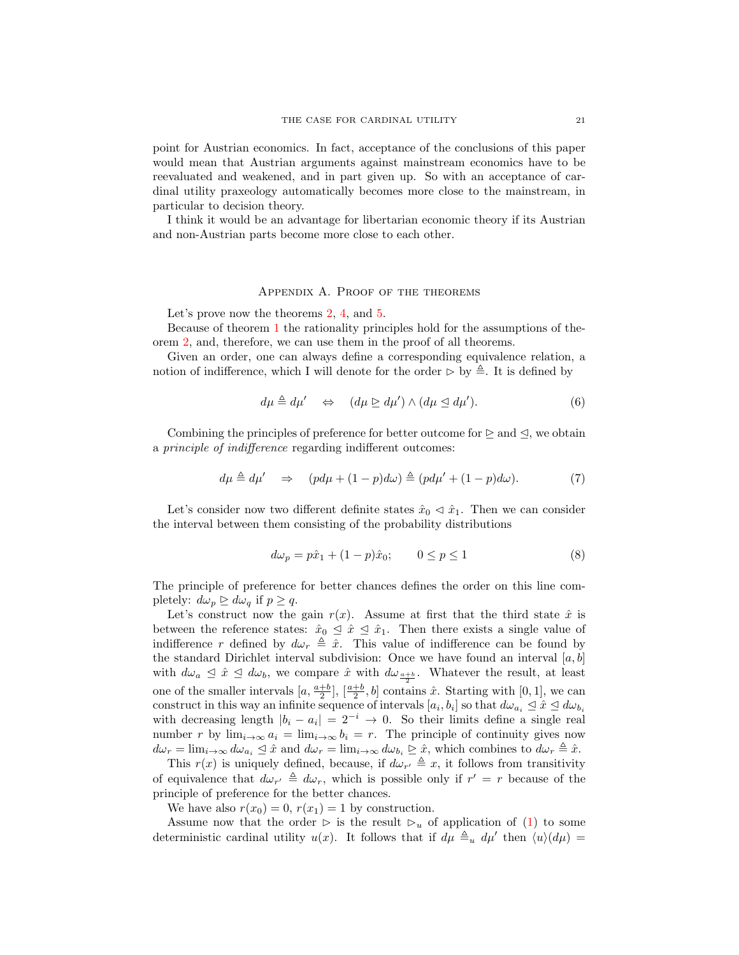point for Austrian economics. In fact, acceptance of the conclusions of this paper would mean that Austrian arguments against mainstream economics have to be reevaluated and weakened, and in part given up. So with an acceptance of cardinal utility praxeology automatically becomes more close to the mainstream, in particular to decision theory.

I think it would be an advantage for libertarian economic theory if its Austrian and non-Austrian parts become more close to each other.

### Appendix A. Proof of the theorems

<span id="page-20-0"></span>Let's prove now the theorems [2,](#page-10-1) [4,](#page-14-1) and [5.](#page-15-1)

Because of theorem [1](#page-7-3) the rationality principles hold for the assumptions of theorem [2,](#page-10-1) and, therefore, we can use them in the proof of all theorems.

Given an order, one can always define a corresponding equivalence relation, a notion of indifference, which I will denote for the order  $\triangleright$  by  $\triangleq$ . It is defined by

$$
d\mu \triangleq d\mu' \quad \Leftrightarrow \quad (d\mu \geq d\mu') \wedge (d\mu \leq d\mu'). \tag{6}
$$

Combining the principles of preference for better outcome for  $\triangleright$  and  $\triangleleft$ , we obtain a principle of indifference regarding indifferent outcomes:

$$
d\mu \triangleq d\mu' \quad \Rightarrow \quad (pd\mu + (1-p)d\omega) \triangleq (pd\mu' + (1-p)d\omega). \tag{7}
$$

Let's consider now two different definite states  $\hat{x}_0 \triangleleft \hat{x}_1$ . Then we can consider the interval between them consisting of the probability distributions

$$
d\omega_p = p\hat{x}_1 + (1 - p)\hat{x}_0; \qquad 0 \le p \le 1
$$
\n(8)

The principle of preference for better chances defines the order on this line completely:  $d\omega_p \geq d\omega_q$  if  $p \geq q$ .

Let's construct now the gain  $r(x)$ . Assume at first that the third state  $\hat{x}$  is between the reference states:  $\hat{x}_0 \leq \hat{x} \leq \hat{x}_1$ . Then there exists a single value of indifference r defined by  $d\omega_r \triangleq \hat{x}$ . This value of indifference can be found by the standard Dirichlet interval subdivision: Once we have found an interval  $[a, b]$ with  $d\omega_a \leq \hat{x} \leq d\omega_b$ , we compare  $\hat{x}$  with  $d\omega_{a+b}$ . Whatever the result, at least one of the smaller intervals  $[a, \frac{a+b}{2}], [\frac{a+b}{2}, b]$  contains  $\hat{x}$ . Starting with  $[0, 1]$ , we can construct in this way an infinite sequence of intervals  $[a_i, b_i]$  so that  $d\omega_{a_i} \leq \hat{x} \leq d\omega_{b_i}$ with decreasing length  $|b_i - a_i| = 2^{-i} \rightarrow 0$ . So their limits define a single real number r by  $\lim_{i\to\infty} a_i = \lim_{i\to\infty} b_i = r$ . The principle of continuity gives now  $d\omega_r = \lim_{i \to \infty} d\omega_{a_i} \leq \hat{x}$  and  $d\omega_r = \lim_{i \to \infty} d\omega_{b_i} \geq \hat{x}$ , which combines to  $d\omega_r \triangleq \hat{x}$ .

This  $r(x)$  is uniquely defined, because, if  $d\omega_{r'} \triangleq x$ , it follows from transitivity of equivalence that  $d\omega_{r'} \triangleq d\omega_r$ , which is possible only if  $r' = r$  because of the principle of preference for the better chances.

We have also  $r(x_0) = 0$ ,  $r(x_1) = 1$  by construction.

Assume now that the order  $\triangleright$  is the result  $\triangleright_u$  of application of [\(1\)](#page-7-2) to some deterministic cardinal utility  $u(x)$ . It follows that if  $d\mu \triangleq_u d\mu'$  then  $\langle u \rangle(d\mu) =$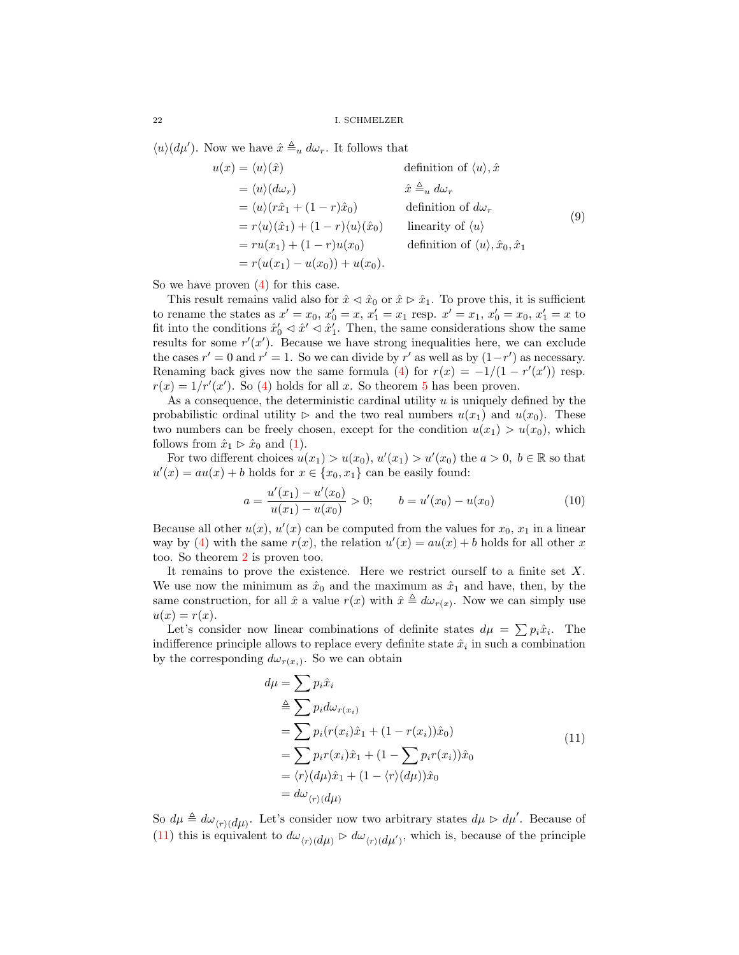$\langle u \rangle (d\mu')$ . Now we have  $\hat{x} \triangleq_u d\omega_r$ . It follows that

$$
u(x) = \langle u \rangle(\hat{x}) \qquad \text{definition of } \langle u \rangle, \hat{x}
$$
  
\n
$$
= \langle u \rangle (d\omega_r) \qquad \hat{x} \triangleq_u d\omega_r
$$
  
\n
$$
= \langle u \rangle (r\hat{x}_1 + (1 - r)\hat{x}_0) \qquad \text{definition of } d\omega_r
$$
  
\n
$$
= r\langle u \rangle(\hat{x}_1) + (1 - r)\langle u \rangle(\hat{x}_0) \qquad \text{linearity of } \langle u \rangle
$$
  
\n
$$
= ru(x_1) + (1 - r)u(x_0) \qquad \text{definition of } \langle u \rangle, \hat{x}_0, \hat{x}_1
$$
  
\n
$$
= r(u(x_1) - u(x_0)) + u(x_0).
$$
  
\n(9)

So we have proven [\(4\)](#page-15-2) for this case.

This result remains valid also for  $\hat{x} \triangleleft \hat{x}_0$  or  $\hat{x} \triangleright \hat{x}_1$ . To prove this, it is sufficient to rename the states as  $x' = x_0, x'_0 = x, x'_1 = x_1$  resp.  $x' = x_1, x'_0 = x_0, x'_1 = x$  to fit into the conditions  $\hat{x}'_0 \triangleleft \hat{x}' \triangleleft \hat{x}'_1$ . Then, the same considerations show the same results for some  $r'(x')$ . Because we have strong inequalities here, we can exclude the cases  $r' = 0$  and  $r' = 1$ . So we can divide by r' as well as by  $(1 - r')$  as necessary. Renaming back gives now the same formula [\(4\)](#page-15-2) for  $r(x) = -1/(1 - r'(x'))$  resp.  $r(x) = 1/r'(x')$ . So [\(4\)](#page-15-2) holds for all x. So theorem [5](#page-15-1) has been proven.

As a consequence, the deterministic cardinal utility  $u$  is uniquely defined by the probabilistic ordinal utility  $\triangleright$  and the two real numbers  $u(x_1)$  and  $u(x_0)$ . These two numbers can be freely chosen, except for the condition  $u(x_1) > u(x_0)$ , which follows from  $\hat{x}_1 \triangleright \hat{x}_0$  and [\(1\)](#page-7-2).

For two different choices  $u(x_1) > u(x_0), u'(x_1) > u'(x_0)$  the  $a > 0, b \in \mathbb{R}$  so that  $u'(x) = au(x) + b$  holds for  $x \in \{x_0, x_1\}$  can be easily found:

$$
a = \frac{u'(x_1) - u'(x_0)}{u(x_1) - u(x_0)} > 0; \qquad b = u'(x_0) - u(x_0)
$$
\n(10)

Because all other  $u(x)$ ,  $u'(x)$  can be computed from the values for  $x_0$ ,  $x_1$  in a linear way by [\(4\)](#page-15-2) with the same  $r(x)$ , the relation  $u'(x) = au(x) + b$  holds for all other x too. So theorem [2](#page-10-1) is proven too.

It remains to prove the existence. Here we restrict ourself to a finite set  $X$ . We use now the minimum as  $\hat{x}_0$  and the maximum as  $\hat{x}_1$  and have, then, by the same construction, for all  $\hat{x}$  a value  $r(x)$  with  $\hat{x} \triangleq d\omega_{r(x)}$ . Now we can simply use  $u(x) = r(x)$ .

Let's consider now linear combinations of definite states  $d\mu = \sum p_i \hat{x}_i$ . The indifference principle allows to replace every definite state  $\hat{x}_i$  in such a combination by the corresponding  $d\omega_{r(x_i)}$ . So we can obtain

$$
d\mu = \sum p_i \hat{x}_i
$$
  
\n
$$
\stackrel{\Delta}{=} \sum p_i d\omega_{r(x_i)}
$$
  
\n
$$
= \sum p_i (r(x_i)\hat{x}_1 + (1 - r(x_i))\hat{x}_0)
$$
  
\n
$$
= \sum p_i r(x_i)\hat{x}_1 + (1 - \sum p_i r(x_i))\hat{x}_0
$$
  
\n
$$
= \langle r \rangle (d\mu)\hat{x}_1 + (1 - \langle r \rangle (d\mu))\hat{x}_0
$$
  
\n
$$
= d\omega_{\langle r \rangle (d\mu)}
$$
\n(11)

<span id="page-21-0"></span>So  $d\mu \triangleq d\omega_{\langle r\rangle(d\mu)}$ . Let's consider now two arbitrary states  $d\mu \triangleright d\mu'$ . Because of [\(11\)](#page-21-0) this is equivalent to  $d\omega_{\langle r\rangle(d\mu)} \triangleright d\omega_{\langle r\rangle(d\mu')}$ , which is, because of the principle